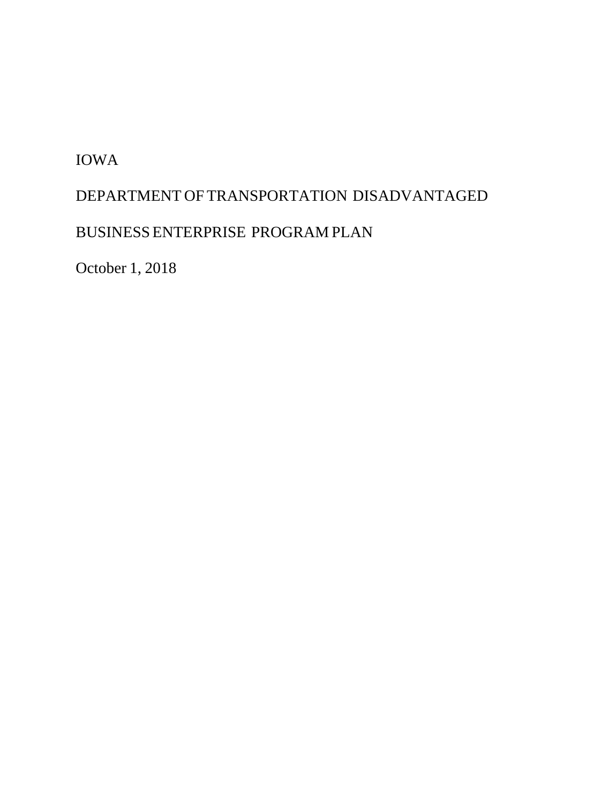# IOWA

# DEPARTMENT OF TRANSPORTATION DISADVANTAGED

# BUSINESS ENTERPRISE PROGRAM PLAN

October 1, 2018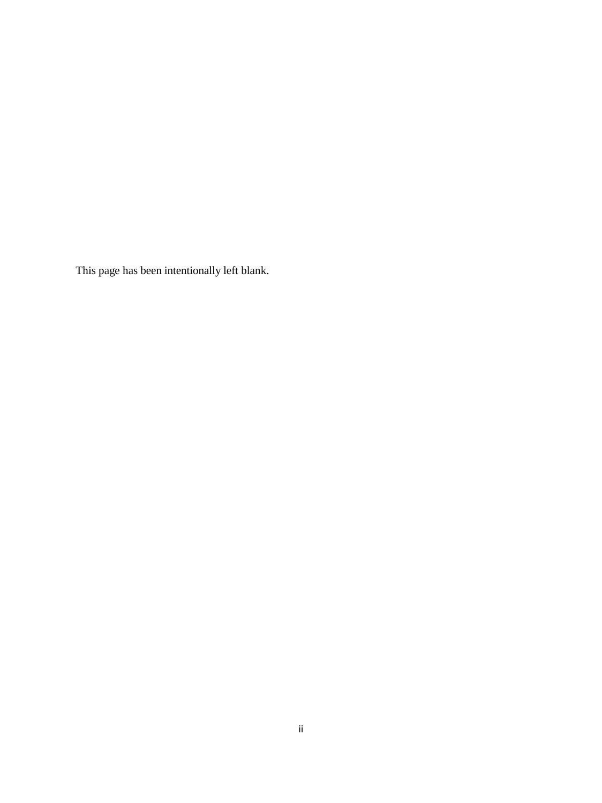This page has been intentionally left blank.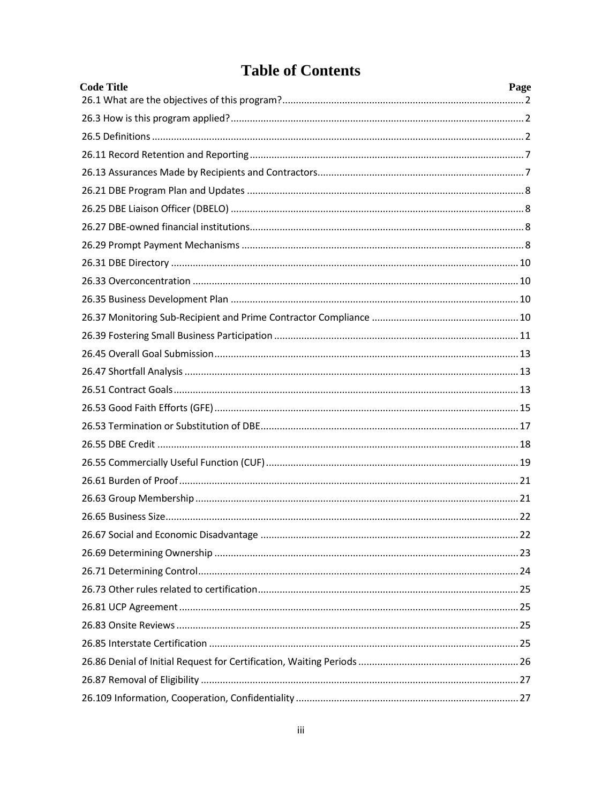# **Table of Contents**

| <b>Code Title</b> | Page |
|-------------------|------|
|                   |      |
|                   |      |
|                   |      |
|                   |      |
|                   |      |
|                   |      |
|                   |      |
|                   |      |
|                   |      |
|                   |      |
|                   |      |
|                   |      |
|                   |      |
|                   |      |
|                   |      |
|                   |      |
|                   |      |
|                   |      |
|                   |      |
|                   |      |
|                   |      |
|                   |      |
|                   |      |
|                   |      |
|                   |      |
|                   |      |
|                   |      |
|                   |      |
|                   |      |
|                   |      |
|                   |      |
|                   |      |
|                   |      |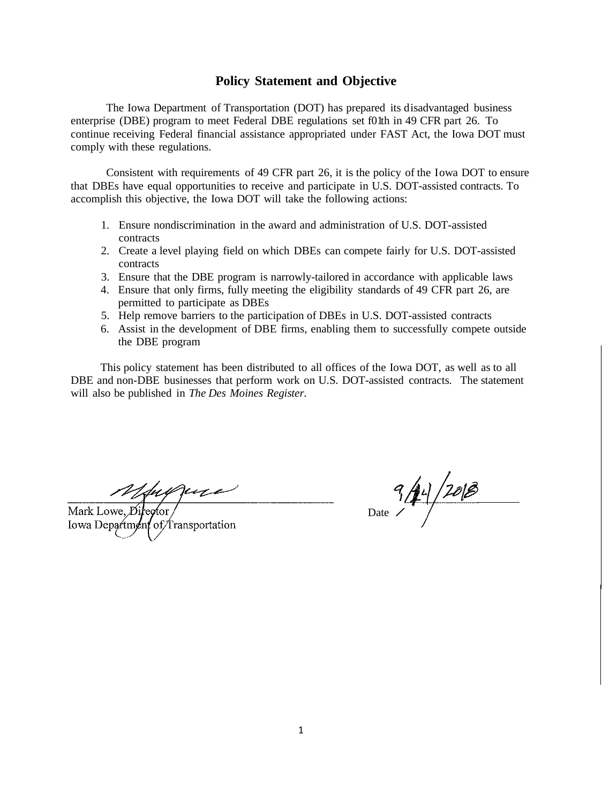# **Policy Statement and Objective**

The Iowa Department of Transportation (DOT) has prepared its disadvantaged business enterprise (DBE) program to meet Federal DBE regulations set f01th in 49 CFR part 26. To continue receiving Federal financial assistance appropriated under FAST Act, the Iowa DOT must comply with these regulations.

Consistent with requirements of 49 CFR part 26, it is the policy of the Iowa DOT to ensure that DBEs have equal opportunities to receive and participate in U.S. DOT-assisted contracts. To accomplish this objective, the Iowa DOT will take the following actions:

- 1. Ensure nondiscrimination in the award and administration of U.S. DOT-assisted contracts
- 2. Create a level playing field on which DBEs can compete fairly for U.S. DOT-assisted contracts
- 3. Ensure that the DBE program is narrowly-tailored in accordance with applicable laws
- 4. Ensure that only firms, fully meeting the eligibility standards of 49 CFR part 26, are permitted to participate as DBEs
- 5. Help remove barriers to the participation of DBEs in U.S. DOT-assisted contracts
- 6. Assist in the development of DBE firms, enabling them to successfully compete outside the DBE program

This policy statement has been distributed to all offices of the Iowa DOT, as well as to all DBE and non-DBE businesses that perform work on U.S. DOT-assisted contracts. The statement will also be published in *The Des Moines Register.*

Mark Lowe, Di Iowa Department of Transportation

 $9/41/2018$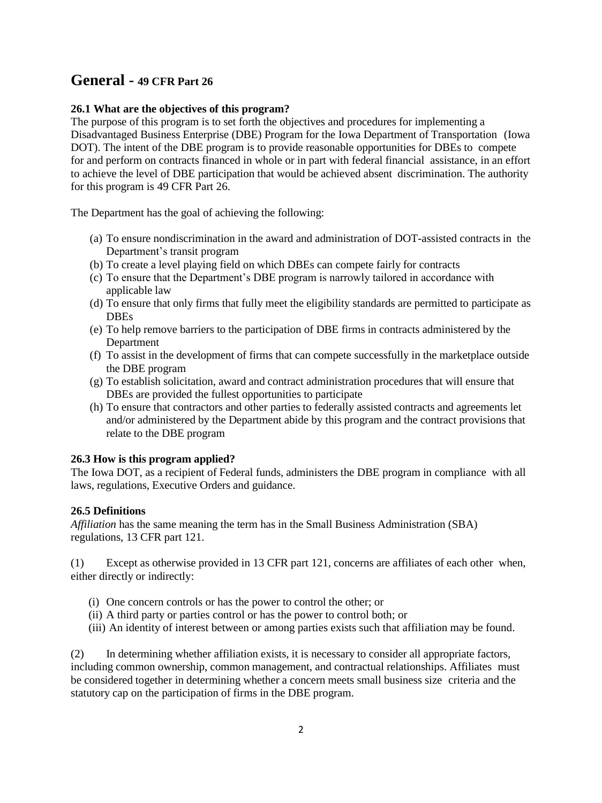# **General - 49 CFR Part 26**

# <span id="page-4-0"></span>**26.1 What are the objectives of this program?**

The purpose of this program is to set forth the objectives and procedures for implementing a Disadvantaged Business Enterprise (DBE) Program for the Iowa Department of Transportation (Iowa DOT). The intent of the DBE program is to provide reasonable opportunities for DBEs to compete for and perform on contracts financed in whole or in part with federal financial assistance, in an effort to achieve the level of DBE participation that would be achieved absent discrimination. The authority for this program is 49 CFR Part 26.

The Department has the goal of achieving the following:

- (a) To ensure nondiscrimination in the award and administration of DOT-assisted contracts in the Department's transit program
- (b) To create a level playing field on which DBEs can compete fairly for contracts
- (c) To ensure that the Department's DBE program is narrowly tailored in accordance with applicable law
- (d) To ensure that only firms that fully meet the eligibility standards are permitted to participate as DBEs
- (e) To help remove barriers to the participation of DBE firms in contracts administered by the **Department**
- (f) To assist in the development of firms that can compete successfully in the marketplace outside the DBE program
- (g) To establish solicitation, award and contract administration procedures that will ensure that DBEs are provided the fullest opportunities to participate
- (h) To ensure that contractors and other parties to federally assisted contracts and agreements let and/or administered by the Department abide by this program and the contract provisions that relate to the DBE program

# <span id="page-4-1"></span>**26.3 How is this program applied?**

The Iowa DOT, as a recipient of Federal funds, administers the DBE program in compliance with all laws, regulations, Executive Orders and guidance.

# <span id="page-4-2"></span>**26.5 Definitions**

*Affiliation* has the same meaning the term has in the Small Business Administration (SBA) regulations, 13 CFR part 121.

(1) Except as otherwise provided in 13 CFR part 121, concerns are affiliates of each other when, either directly or indirectly:

- (i) One concern controls or has the power to control the other; or
- (ii) A third party or parties control or has the power to control both; or
- (iii) An identity of interest between or among parties exists such that affiliation may be found.

(2) In determining whether affiliation exists, it is necessary to consider all appropriate factors, including common ownership, common management, and contractual relationships. Affiliates must be considered together in determining whether a concern meets small business size criteria and the statutory cap on the participation of firms in the DBE program.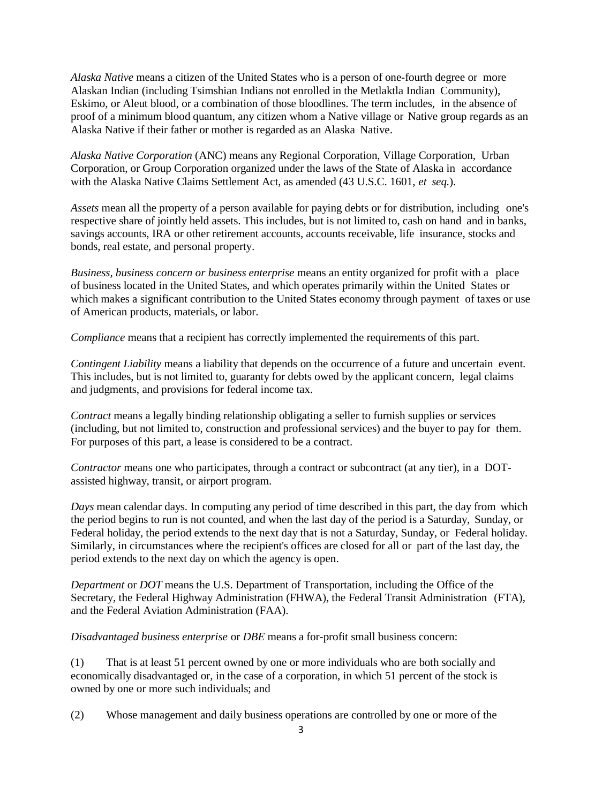*Alaska Native* means a citizen of the United States who is a person of one-fourth degree or more Alaskan Indian (including Tsimshian Indians not enrolled in the Metlaktla Indian Community), Eskimo, or Aleut blood, or a combination of those bloodlines. The term includes, in the absence of proof of a minimum blood quantum, any citizen whom a Native village or Native group regards as an Alaska Native if their father or mother is regarded as an Alaska Native.

*Alaska Native Corporation* (ANC) means any Regional Corporation, Village Corporation, Urban Corporation, or Group Corporation organized under the laws of the State of Alaska in accordance with the Alaska Native Claims Settlement Act, as amended (43 U.S.C. 1601, *et seq.*).

*Assets* mean all the property of a person available for paying debts or for distribution, including one's respective share of jointly held assets. This includes, but is not limited to, cash on hand and in banks, savings accounts, IRA or other retirement accounts, accounts receivable, life insurance, stocks and bonds, real estate, and personal property.

*Business, business concern or business enterprise* means an entity organized for profit with a place of business located in the United States, and which operates primarily within the United States or which makes a significant contribution to the United States economy through payment of taxes or use of American products, materials, or labor.

*Compliance* means that a recipient has correctly implemented the requirements of this part.

*Contingent Liability* means a liability that depends on the occurrence of a future and uncertain event. This includes, but is not limited to, guaranty for debts owed by the applicant concern, legal claims and judgments, and provisions for federal income tax.

*Contract* means a legally binding relationship obligating a seller to furnish supplies or services (including, but not limited to, construction and professional services) and the buyer to pay for them. For purposes of this part, a lease is considered to be a contract.

*Contractor* means one who participates, through a contract or subcontract (at any tier), in a DOTassisted highway, transit, or airport program.

*Days* mean calendar days. In computing any period of time described in this part, the day from which the period begins to run is not counted, and when the last day of the period is a Saturday, Sunday, or Federal holiday, the period extends to the next day that is not a Saturday, Sunday, or Federal holiday. Similarly, in circumstances where the recipient's offices are closed for all or part of the last day, the period extends to the next day on which the agency is open.

*Department* or *DOT* means the U.S. Department of Transportation, including the Office of the Secretary, the Federal Highway Administration (FHWA), the Federal Transit Administration (FTA), and the Federal Aviation Administration (FAA).

*Disadvantaged business enterprise* or *DBE* means a for-profit small business concern:

(1) That is at least 51 percent owned by one or more individuals who are both socially and economically disadvantaged or, in the case of a corporation, in which 51 percent of the stock is owned by one or more such individuals; and

(2) Whose management and daily business operations are controlled by one or more of the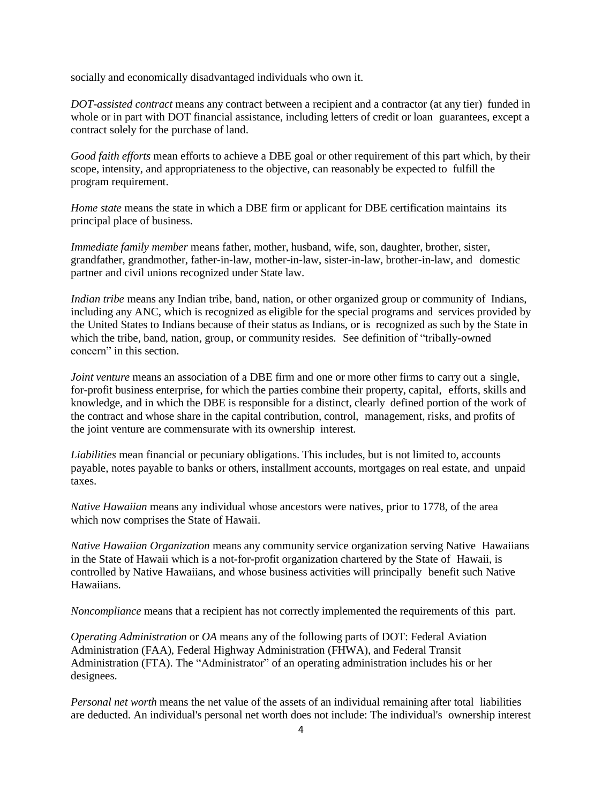socially and economically disadvantaged individuals who own it.

*DOT-assisted contract* means any contract between a recipient and a contractor (at any tier) funded in whole or in part with DOT financial assistance, including letters of credit or loan guarantees, except a contract solely for the purchase of land.

*Good faith efforts* mean efforts to achieve a DBE goal or other requirement of this part which, by their scope, intensity, and appropriateness to the objective, can reasonably be expected to fulfill the program requirement.

*Home state* means the state in which a DBE firm or applicant for DBE certification maintains its principal place of business.

*Immediate family member* means father, mother, husband, wife, son, daughter, brother, sister, grandfather, grandmother, father-in-law, mother-in-law, sister-in-law, brother-in-law, and domestic partner and civil unions recognized under State law.

*Indian tribe* means any Indian tribe, band, nation, or other organized group or community of Indians, including any ANC, which is recognized as eligible for the special programs and services provided by the United States to Indians because of their status as Indians, or is recognized as such by the State in which the tribe, band, nation, group, or community resides. See definition of "tribally-owned concern" in this section.

*Joint venture* means an association of a DBE firm and one or more other firms to carry out a single, for-profit business enterprise, for which the parties combine their property, capital, efforts, skills and knowledge, and in which the DBE is responsible for a distinct, clearly defined portion of the work of the contract and whose share in the capital contribution, control, management, risks, and profits of the joint venture are commensurate with its ownership interest.

*Liabilities* mean financial or pecuniary obligations. This includes, but is not limited to, accounts payable, notes payable to banks or others, installment accounts, mortgages on real estate, and unpaid taxes.

*Native Hawaiian* means any individual whose ancestors were natives, prior to 1778, of the area which now comprises the State of Hawaii.

*Native Hawaiian Organization* means any community service organization serving Native Hawaiians in the State of Hawaii which is a not-for-profit organization chartered by the State of Hawaii, is controlled by Native Hawaiians, and whose business activities will principally benefit such Native Hawaiians.

*Noncompliance* means that a recipient has not correctly implemented the requirements of this part.

*Operating Administration* or *OA* means any of the following parts of DOT: Federal Aviation Administration (FAA), Federal Highway Administration (FHWA), and Federal Transit Administration (FTA). The "Administrator" of an operating administration includes his or her designees.

*Personal net worth* means the net value of the assets of an individual remaining after total liabilities are deducted. An individual's personal net worth does not include: The individual's ownership interest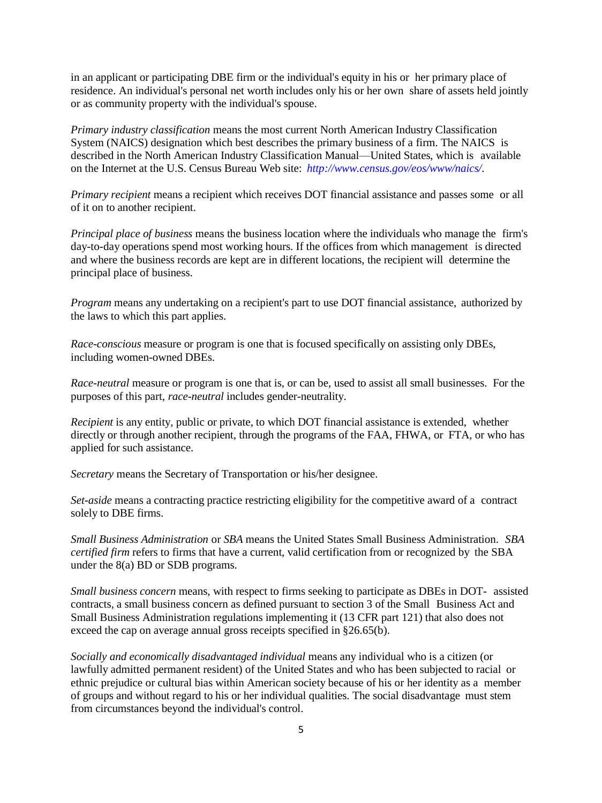in an applicant or participating DBE firm or the individual's equity in his or her primary place of residence. An individual's personal net worth includes only his or her own share of assets held jointly or as community property with the individual's spouse.

*Primary industry classification* means the most current North American Industry Classification System (NAICS) designation which best describes the primary business of a firm. The NAICS is described in the North American Industry Classification Manual—United States, which is available on the Internet at the U.S. Census Bureau Web site: *[http://www.census.gov/eos/www/naics/.](http://www.census.gov/eos/www/naics/)*

*Primary recipient* means a recipient which receives DOT financial assistance and passes some or all of it on to another recipient.

*Principal place of business* means the business location where the individuals who manage the firm's day-to-day operations spend most working hours. If the offices from which management is directed and where the business records are kept are in different locations, the recipient will determine the principal place of business.

*Program* means any undertaking on a recipient's part to use DOT financial assistance, authorized by the laws to which this part applies.

*Race-conscious* measure or program is one that is focused specifically on assisting only DBEs, including women-owned DBEs.

*Race-neutral* measure or program is one that is, or can be, used to assist all small businesses. For the purposes of this part, *race-neutral* includes gender-neutrality.

*Recipient* is any entity, public or private, to which DOT financial assistance is extended, whether directly or through another recipient, through the programs of the FAA, FHWA, or FTA, or who has applied for such assistance.

*Secretary* means the Secretary of Transportation or his/her designee.

*Set-aside* means a contracting practice restricting eligibility for the competitive award of a contract solely to DBE firms.

*Small Business Administration* or *SBA* means the United States Small Business Administration. *SBA certified firm* refers to firms that have a current, valid certification from or recognized by the SBA under the 8(a) BD or SDB programs.

*Small business concern* means, with respect to firms seeking to participate as DBEs in DOT- assisted contracts, a small business concern as defined pursuant to section 3 of the Small Business Act and Small Business Administration regulations implementing it (13 CFR part 121) that also does not exceed the cap on average annual gross receipts specified in §26.65(b).

*Socially and economically disadvantaged individual* means any individual who is a citizen (or lawfully admitted permanent resident) of the United States and who has been subjected to racial or ethnic prejudice or cultural bias within American society because of his or her identity as a member of groups and without regard to his or her individual qualities. The social disadvantage must stem from circumstances beyond the individual's control.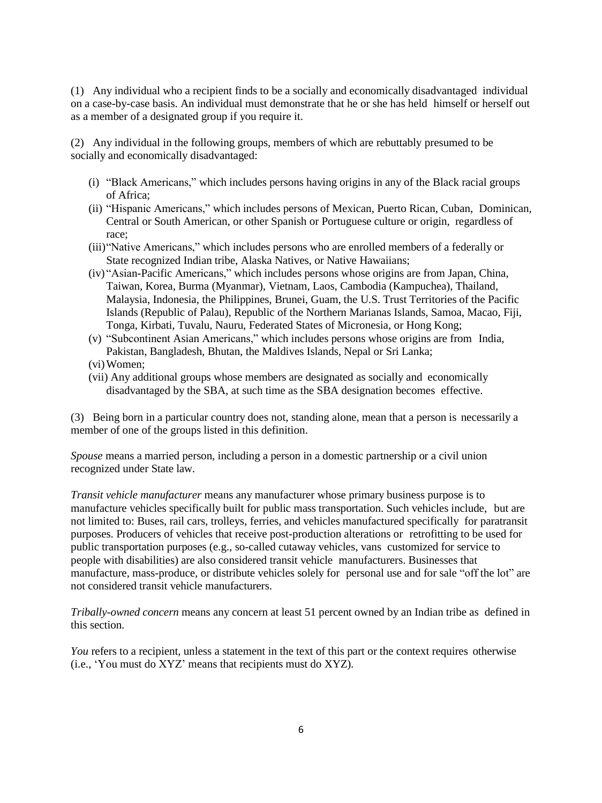(1) Any individual who a recipient finds to be a socially and economically disadvantaged individual on a case-by-case basis. An individual must demonstrate that he or she has held himself or herself out as a member of a designated group if you require it.

(2) Any individual in the following groups, members of which are rebuttably presumed to be socially and economically disadvantaged:

- (i) "Black Americans," which includes persons having origins in any of the Black racial groups of Africa;
- (ii) "Hispanic Americans," which includes persons of Mexican, Puerto Rican, Cuban, Dominican, Central or South American, or other Spanish or Portuguese culture or origin, regardless of race;
- (iii)"Native Americans," which includes persons who are enrolled members of a federally or State recognized Indian tribe, Alaska Natives, or Native Hawaiians;
- (iv) "Asian-Pacific Americans," which includes persons whose origins are from Japan, China, Taiwan, Korea, Burma (Myanmar), Vietnam, Laos, Cambodia (Kampuchea), Thailand, Malaysia, Indonesia, the Philippines, Brunei, Guam, the U.S. Trust Territories of the Pacific Islands (Republic of Palau), Republic of the Northern Marianas Islands, Samoa, Macao, Fiji, Tonga, Kirbati, Tuvalu, Nauru, Federated States of Micronesia, or Hong Kong;
- (v) "Subcontinent Asian Americans," which includes persons whose origins are from India, Pakistan, Bangladesh, Bhutan, the Maldives Islands, Nepal or Sri Lanka;
- (vi)Women;
- (vii) Any additional groups whose members are designated as socially and economically disadvantaged by the SBA, at such time as the SBA designation becomes effective.

(3) Being born in a particular country does not, standing alone, mean that a person is necessarily a member of one of the groups listed in this definition.

*Spouse* means a married person, including a person in a domestic partnership or a civil union recognized under State law.

*Transit vehicle manufacturer* means any manufacturer whose primary business purpose is to manufacture vehicles specifically built for public mass transportation. Such vehicles include, but are not limited to: Buses, rail cars, trolleys, ferries, and vehicles manufactured specifically for paratransit purposes. Producers of vehicles that receive post-production alterations or retrofitting to be used for public transportation purposes (e.g., so-called cutaway vehicles, vans customized for service to people with disabilities) are also considered transit vehicle manufacturers. Businesses that manufacture, mass-produce, or distribute vehicles solely for personal use and for sale "off the lot" are not considered transit vehicle manufacturers.

*Tribally-owned concern* means any concern at least 51 percent owned by an Indian tribe as defined in this section.

*You* refers to a recipient, unless a statement in the text of this part or the context requires otherwise (i.e., 'You must do XYZ' means that recipients must do XYZ).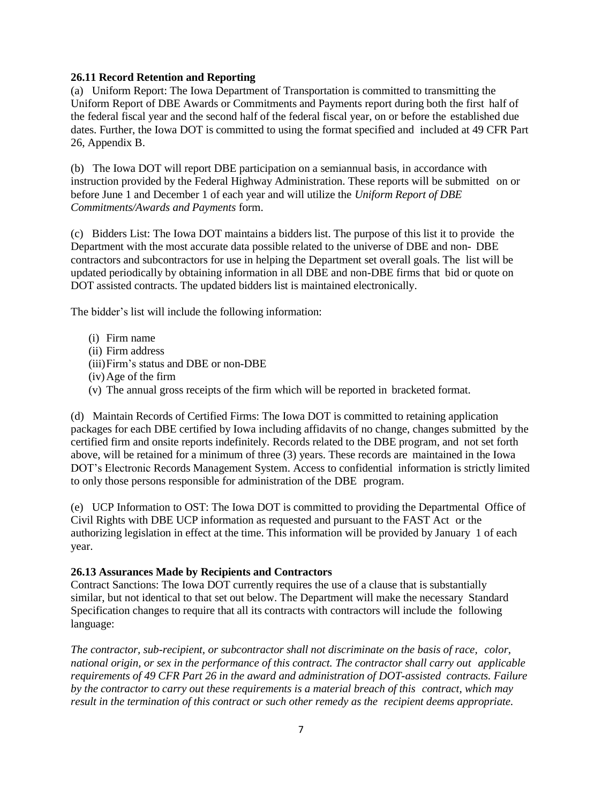# <span id="page-9-0"></span>**26.11 Record Retention and Reporting**

(a) Uniform Report: The Iowa Department of Transportation is committed to transmitting the Uniform Report of DBE Awards or Commitments and Payments report during both the first half of the federal fiscal year and the second half of the federal fiscal year, on or before the established due dates. Further, the Iowa DOT is committed to using the format specified and included at 49 CFR Part 26, Appendix B.

(b) The Iowa DOT will report DBE participation on a semiannual basis, in accordance with instruction provided by the Federal Highway Administration. These reports will be submitted on or before June 1 and December 1 of each year and will utilize the *Uniform Report of DBE Commitments/Awards and Payments* form.

(c) Bidders List: The Iowa DOT maintains a bidders list. The purpose of this list it to provide the Department with the most accurate data possible related to the universe of DBE and non- DBE contractors and subcontractors for use in helping the Department set overall goals. The list will be updated periodically by obtaining information in all DBE and non-DBE firms that bid or quote on DOT assisted contracts. The updated bidders list is maintained electronically.

The bidder's list will include the following information:

- (i) Firm name
- (ii) Firm address
- (iii)Firm's status and DBE or non-DBE
- (iv)Age of the firm
- (v) The annual gross receipts of the firm which will be reported in bracketed format.

(d) Maintain Records of Certified Firms: The Iowa DOT is committed to retaining application packages for each DBE certified by Iowa including affidavits of no change, changes submitted by the certified firm and onsite reports indefinitely. Records related to the DBE program, and not set forth above, will be retained for a minimum of three (3) years. These records are maintained in the Iowa DOT's Electronic Records Management System. Access to confidential information is strictly limited to only those persons responsible for administration of the DBE program.

(e) UCP Information to OST: The Iowa DOT is committed to providing the Departmental Office of Civil Rights with DBE UCP information as requested and pursuant to the FAST Act or the authorizing legislation in effect at the time. This information will be provided by January 1 of each year.

# <span id="page-9-1"></span>**26.13 Assurances Made by Recipients and Contractors**

Contract Sanctions: The Iowa DOT currently requires the use of a clause that is substantially similar, but not identical to that set out below. The Department will make the necessary Standard Specification changes to require that all its contracts with contractors will include the following language:

*The contractor, sub-recipient, or subcontractor shall not discriminate on the basis of race, color, national origin, or sex in the performance of this contract. The contractor shall carry out applicable requirements of 49 CFR Part 26 in the award and administration of DOT-assisted contracts. Failure by the contractor to carry out these requirements is a material breach of this contract, which may result in the termination of this contract or such other remedy as the recipient deems appropriate.*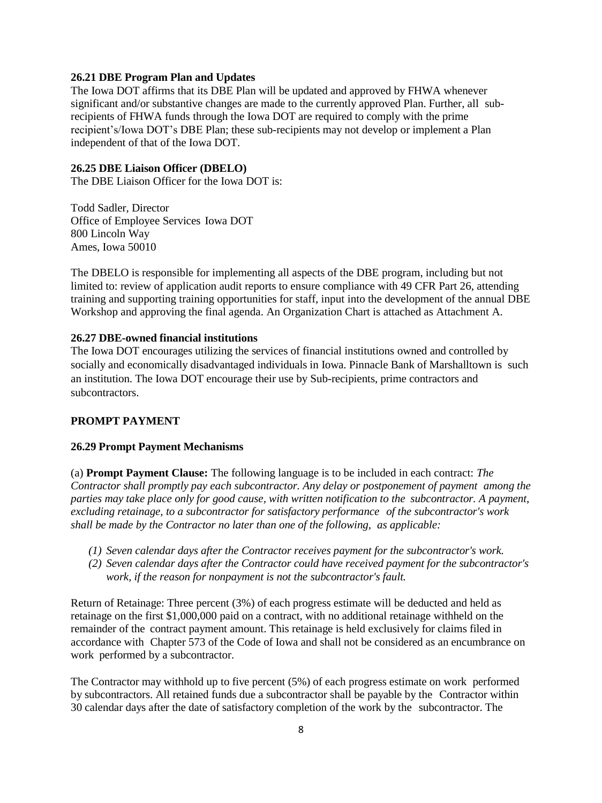# <span id="page-10-0"></span>**26.21 DBE Program Plan and Updates**

The Iowa DOT affirms that its DBE Plan will be updated and approved by FHWA whenever significant and/or substantive changes are made to the currently approved Plan. Further, all subrecipients of FHWA funds through the Iowa DOT are required to comply with the prime recipient's/Iowa DOT's DBE Plan; these sub-recipients may not develop or implement a Plan independent of that of the Iowa DOT.

# <span id="page-10-1"></span>**26.25 DBE Liaison Officer (DBELO)**

The DBE Liaison Officer for the Iowa DOT is:

Todd Sadler, Director Office of Employee Services Iowa DOT 800 Lincoln Way Ames, Iowa 50010

The DBELO is responsible for implementing all aspects of the DBE program, including but not limited to: review of application audit reports to ensure compliance with 49 CFR Part 26, attending training and supporting training opportunities for staff, input into the development of the annual DBE Workshop and approving the final agenda. An Organization Chart is attached as Attachment A.

# <span id="page-10-2"></span>**26.27 DBE-owned financial institutions**

The Iowa DOT encourages utilizing the services of financial institutions owned and controlled by socially and economically disadvantaged individuals in Iowa. Pinnacle Bank of Marshalltown is such an institution. The Iowa DOT encourage their use by Sub-recipients, prime contractors and subcontractors.

# <span id="page-10-3"></span>**PROMPT PAYMENT**

### **26.29 Prompt Payment Mechanisms**

(a) **Prompt Payment Clause:** The following language is to be included in each contract: *The Contractor shall promptly pay each subcontractor. Any delay or postponement of payment among the parties may take place only for good cause, with written notification to the subcontractor. A payment, excluding retainage, to a subcontractor for satisfactory performance of the subcontractor's work shall be made by the Contractor no later than one of the following, as applicable:*

- *(1) Seven calendar days after the Contractor receives payment for the subcontractor's work.*
- *(2) Seven calendar days after the Contractor could have received payment for the subcontractor's work, if the reason for nonpayment is not the subcontractor's fault.*

Return of Retainage: Three percent (3%) of each progress estimate will be deducted and held as retainage on the first \$1,000,000 paid on a contract, with no additional retainage withheld on the remainder of the contract payment amount. This retainage is held exclusively for claims filed in accordance with Chapter 573 of the Code of Iowa and shall not be considered as an encumbrance on work performed by a subcontractor.

The Contractor may withhold up to five percent (5%) of each progress estimate on work performed by subcontractors. All retained funds due a subcontractor shall be payable by the Contractor within 30 calendar days after the date of satisfactory completion of the work by the subcontractor. The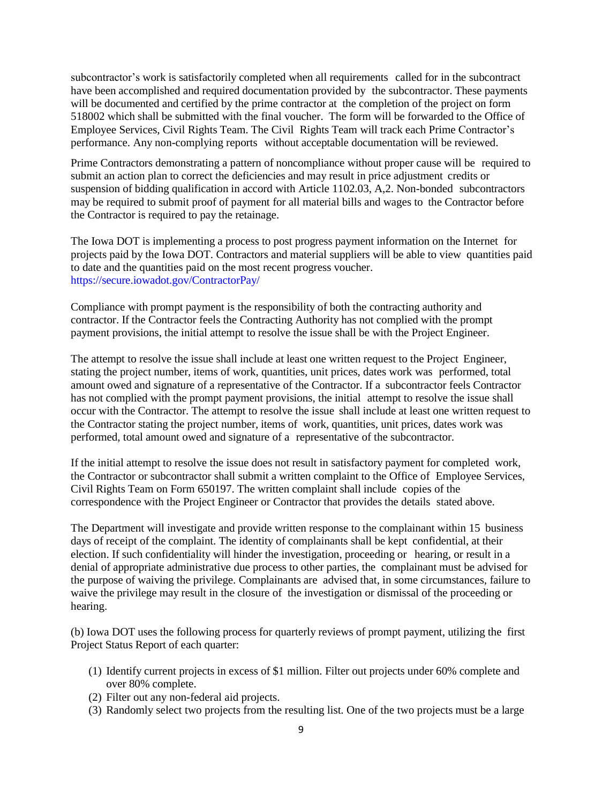subcontractor's work is satisfactorily completed when all requirements called for in the subcontract have been accomplished and required documentation provided by the subcontractor. These payments will be documented and certified by the prime contractor at the completion of the project on form 518002 which shall be submitted with the final voucher. The form will be forwarded to the Office of Employee Services, Civil Rights Team. The Civil Rights Team will track each Prime Contractor's performance. Any non-complying reports without acceptable documentation will be reviewed.

Prime Contractors demonstrating a pattern of noncompliance without proper cause will be required to submit an action plan to correct the deficiencies and may result in price adjustment credits or suspension of bidding qualification in accord with Article 1102.03, A,2. Non-bonded subcontractors may be required to submit proof of payment for all material bills and wages to the Contractor before the Contractor is required to pay the retainage.

The Iowa DOT is implementing a process to post progress payment information on the Internet for projects paid by the Iowa DOT. Contractors and material suppliers will be able to view quantities paid to date and the quantities paid on the most recent progress voucher. <https://secure.iowadot.gov/ContractorPay/>

Compliance with prompt payment is the responsibility of both the contracting authority and contractor. If the Contractor feels the Contracting Authority has not complied with the prompt payment provisions, the initial attempt to resolve the issue shall be with the Project Engineer.

The attempt to resolve the issue shall include at least one written request to the Project Engineer, stating the project number, items of work, quantities, unit prices, dates work was performed, total amount owed and signature of a representative of the Contractor. If a subcontractor feels Contractor has not complied with the prompt payment provisions, the initial attempt to resolve the issue shall occur with the Contractor. The attempt to resolve the issue shall include at least one written request to the Contractor stating the project number, items of work, quantities, unit prices, dates work was performed, total amount owed and signature of a representative of the subcontractor.

If the initial attempt to resolve the issue does not result in satisfactory payment for completed work, the Contractor or subcontractor shall submit a written complaint to the Office of Employee Services, Civil Rights Team on Form 650197. The written complaint shall include copies of the correspondence with the Project Engineer or Contractor that provides the details stated above.

The Department will investigate and provide written response to the complainant within 15 business days of receipt of the complaint. The identity of complainants shall be kept confidential, at their election. If such confidentiality will hinder the investigation, proceeding or hearing, or result in a denial of appropriate administrative due process to other parties, the complainant must be advised for the purpose of waiving the privilege. Complainants are advised that, in some circumstances, failure to waive the privilege may result in the closure of the investigation or dismissal of the proceeding or hearing.

(b) Iowa DOT uses the following process for quarterly reviews of prompt payment, utilizing the first Project Status Report of each quarter:

- (1) Identify current projects in excess of \$1 million. Filter out projects under 60% complete and over 80% complete.
- (2) Filter out any non-federal aid projects.
- (3) Randomly select two projects from the resulting list. One of the two projects must be a large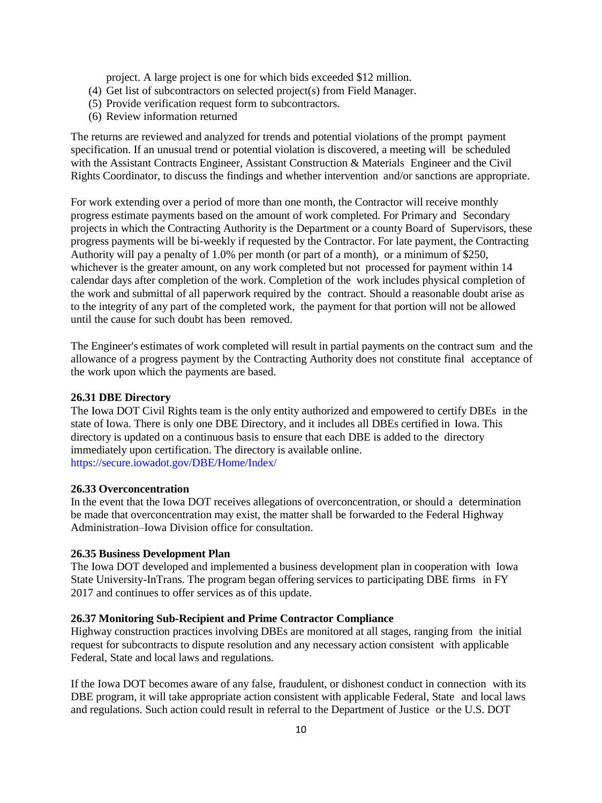project. A large project is one for which bids exceeded \$12 million.

- (4) Get list of subcontractors on selected project(s) from Field Manager.
- (5) Provide verification request form to subcontractors.
- (6) Review information returned

The returns are reviewed and analyzed for trends and potential violations of the prompt payment specification. If an unusual trend or potential violation is discovered, a meeting will be scheduled with the Assistant Contracts Engineer, Assistant Construction & Materials Engineer and the Civil Rights Coordinator, to discuss the findings and whether intervention and/or sanctions are appropriate.

For work extending over a period of more than one month, the Contractor will receive monthly progress estimate payments based on the amount of work completed. For Primary and Secondary projects in which the Contracting Authority is the Department or a county Board of Supervisors, these progress payments will be bi-weekly if requested by the Contractor. For late payment, the Contracting Authority will pay a penalty of 1.0% per month (or part of a month), or a minimum of \$250, whichever is the greater amount, on any work completed but not processed for payment within 14 calendar days after completion of the work. Completion of the work includes physical completion of the work and submittal of all paperwork required by the contract. Should a reasonable doubt arise as to the integrity of any part of the completed work, the payment for that portion will not be allowed until the cause for such doubt has been removed.

The Engineer's estimates of work completed will result in partial payments on the contract sum and the allowance of a progress payment by the Contracting Authority does not constitute final acceptance of the work upon which the payments are based.

# <span id="page-12-0"></span>**26.31 DBE Directory**

The Iowa DOT Civil Rights team is the only entity authorized and empowered to certify DBEs in the state of Iowa. There is only one DBE Directory, and it includes all DBEs certified in Iowa. This directory is updated on a continuous basis to ensure that each DBE is added to the directory immediately upon certification. The directory is available online. <https://secure.iowadot.gov/DBE/Home/Index/>

# <span id="page-12-1"></span>**26.33 Overconcentration**

In the event that the Iowa DOT receives allegations of overconcentration, or should a determination be made that overconcentration may exist, the matter shall be forwarded to the Federal Highway Administration–Iowa Division office for consultation.

# <span id="page-12-2"></span>**26.35 Business Development Plan**

The Iowa DOT developed and implemented a business development plan in cooperation with Iowa State University-InTrans. The program began offering services to participating DBE firms in FY 2017 and continues to offer services as of this update.

# <span id="page-12-3"></span>**26.37 Monitoring Sub-Recipient and Prime Contractor Compliance**

Highway construction practices involving DBEs are monitored at all stages, ranging from the initial request for subcontracts to dispute resolution and any necessary action consistent with applicable Federal, State and local laws and regulations.

If the Iowa DOT becomes aware of any false, fraudulent, or dishonest conduct in connection with its DBE program, it will take appropriate action consistent with applicable Federal, State and local laws and regulations. Such action could result in referral to the Department of Justice or the U.S. DOT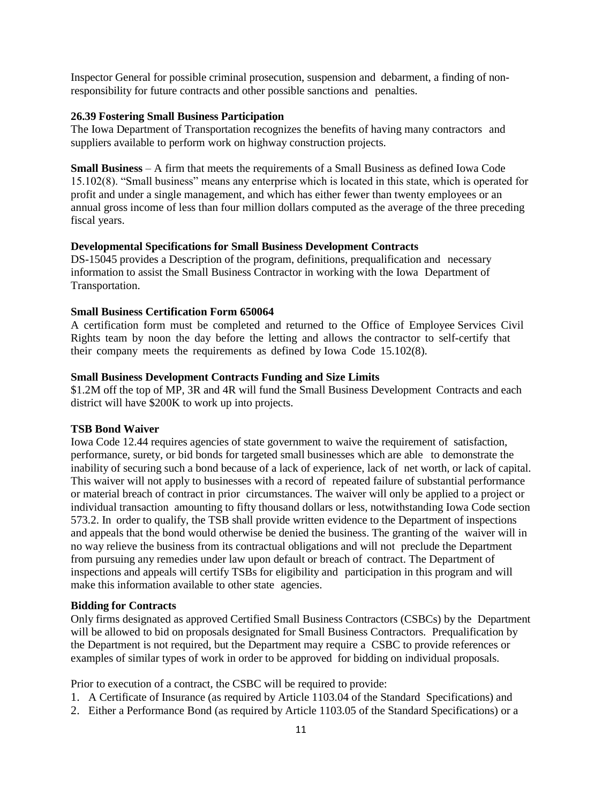Inspector General for possible criminal prosecution, suspension and debarment, a finding of nonresponsibility for future contracts and other possible sanctions and penalties.

# <span id="page-13-0"></span>**26.39 Fostering Small Business Participation**

The Iowa Department of Transportation recognizes the benefits of having many contractors and suppliers available to perform work on highway construction projects.

**Small Business** – A firm that meets the requirements of a Small Business as defined Iowa Code 15.102(8). "Small business" means any enterprise which is located in this state, which is operated for profit and under a single management, and which has either fewer than twenty employees or an annual gross income of less than four million dollars computed as the average of the three preceding fiscal years.

### **Developmental Specifications for Small Business Development Contracts**

DS-15045 provides a Description of the program, definitions, prequalification and necessary information to assist the Small Business Contractor in working with the Iowa Department of Transportation.

# **Small Business Certification Form 650064**

A certification form must be completed and returned to the Office of Employee Services Civil Rights team by noon the day before the letting and allows the contractor to self-certify that their company meets the requirements as defined by Iowa Code 15.102(8).

# **Small Business Development Contracts Funding and Size Limits**

\$1.2M off the top of MP, 3R and 4R will fund the Small Business Development Contracts and each district will have \$200K to work up into projects.

### **TSB Bond Waiver**

Iowa Code 12.44 requires agencies of state government to waive the requirement of satisfaction, performance, surety, or bid bonds for targeted small businesses which are able to demonstrate the inability of securing such a bond because of a lack of experience, lack of net worth, or lack of capital. This waiver will not apply to businesses with a record of repeated failure of substantial performance or material breach of contract in prior circumstances. The waiver will only be applied to a project or individual transaction amounting to fifty thousand dollars or less, notwithstanding Iowa Code section 573.2. In order to qualify, the TSB shall provide written evidence to the Department of inspections and appeals that the bond would otherwise be denied the business. The granting of the waiver will in no way relieve the business from its contractual obligations and will not preclude the Department from pursuing any remedies under law upon default or breach of contract. The Department of inspections and appeals will certify TSBs for eligibility and participation in this program and will make this information available to other state agencies.

# **Bidding for Contracts**

Only firms designated as approved Certified Small Business Contractors (CSBCs) by the Department will be allowed to bid on proposals designated for Small Business Contractors. Prequalification by the Department is not required, but the Department may require a CSBC to provide references or examples of similar types of work in order to be approved for bidding on individual proposals.

Prior to execution of a contract, the CSBC will be required to provide:

- 1. A Certificate of Insurance (as required by Article 1103.04 of the Standard Specifications) and
- 2. Either a Performance Bond (as required by Article 1103.05 of the Standard Specifications) or a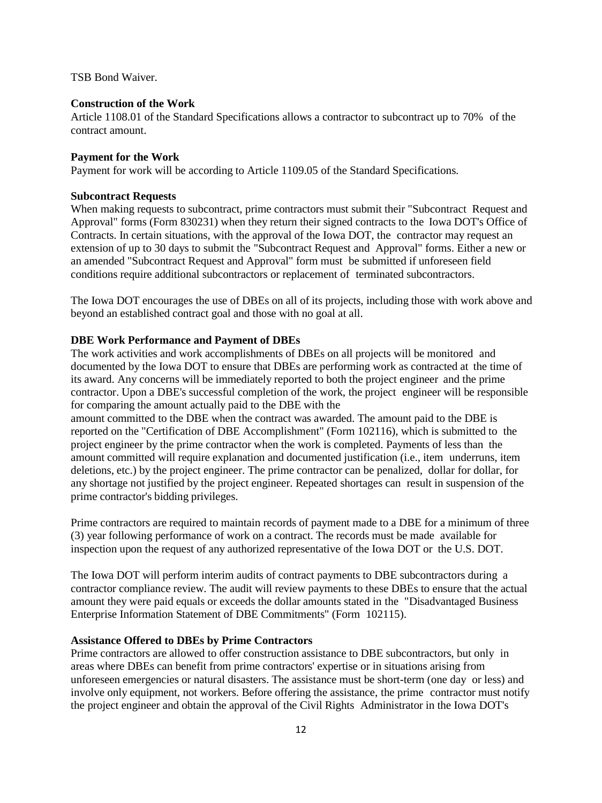TSB Bond Waiver.

#### **Construction of the Work**

Article 1108.01 of the Standard Specifications allows a contractor to subcontract up to 70% of the contract amount.

#### **Payment for the Work**

Payment for work will be according to Article 1109.05 of the Standard Specifications.

# **Subcontract Requests**

When making requests to subcontract, prime contractors must submit their "Subcontract Request and Approval" forms (Form 830231) when they return their signed contracts to the Iowa DOT's Office of Contracts. In certain situations, with the approval of the Iowa DOT, the contractor may request an extension of up to 30 days to submit the "Subcontract Request and Approval" forms. Either a new or an amended "Subcontract Request and Approval" form must be submitted if unforeseen field conditions require additional subcontractors or replacement of terminated subcontractors.

The Iowa DOT encourages the use of DBEs on all of its projects, including those with work above and beyond an established contract goal and those with no goal at all.

### **DBE Work Performance and Payment of DBEs**

The work activities and work accomplishments of DBEs on all projects will be monitored and documented by the Iowa DOT to ensure that DBEs are performing work as contracted at the time of its award. Any concerns will be immediately reported to both the project engineer and the prime contractor. Upon a DBE's successful completion of the work, the project engineer will be responsible for comparing the amount actually paid to the DBE with the

amount committed to the DBE when the contract was awarded. The amount paid to the DBE is reported on the "Certification of DBE Accomplishment" (Form 102116), which is submitted to the project engineer by the prime contractor when the work is completed. Payments of less than the amount committed will require explanation and documented justification (i.e., item underruns, item deletions, etc.) by the project engineer. The prime contractor can be penalized, dollar for dollar, for any shortage not justified by the project engineer. Repeated shortages can result in suspension of the prime contractor's bidding privileges.

Prime contractors are required to maintain records of payment made to a DBE for a minimum of three (3) year following performance of work on a contract. The records must be made available for inspection upon the request of any authorized representative of the Iowa DOT or the U.S. DOT.

The Iowa DOT will perform interim audits of contract payments to DBE subcontractors during a contractor compliance review. The audit will review payments to these DBEs to ensure that the actual amount they were paid equals or exceeds the dollar amounts stated in the "Disadvantaged Business Enterprise Information Statement of DBE Commitments" (Form 102115).

# **Assistance Offered to DBEs by Prime Contractors**

Prime contractors are allowed to offer construction assistance to DBE subcontractors, but only in areas where DBEs can benefit from prime contractors' expertise or in situations arising from unforeseen emergencies or natural disasters. The assistance must be short-term (one day or less) and involve only equipment, not workers. Before offering the assistance, the prime contractor must notify the project engineer and obtain the approval of the Civil Rights Administrator in the Iowa DOT's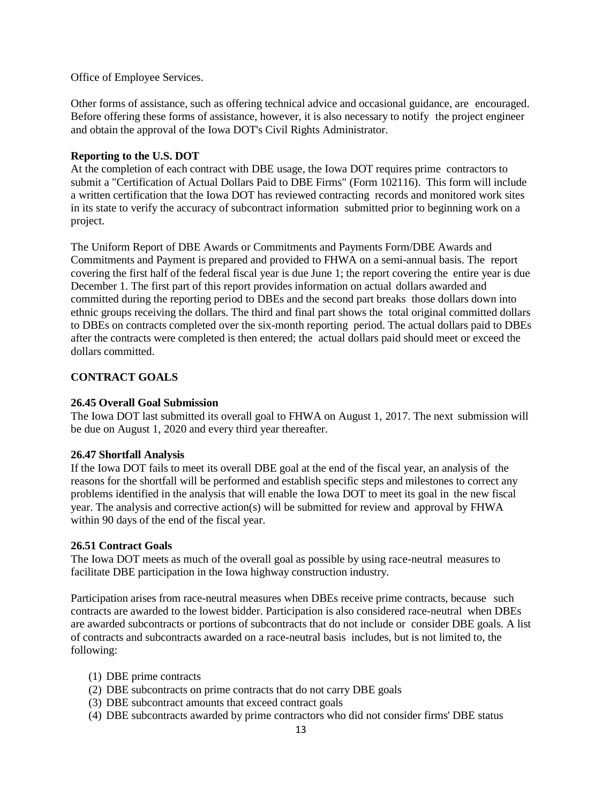Office of Employee Services.

Other forms of assistance, such as offering technical advice and occasional guidance, are encouraged. Before offering these forms of assistance, however, it is also necessary to notify the project engineer and obtain the approval of the Iowa DOT's Civil Rights Administrator.

# **Reporting to the U.S. DOT**

At the completion of each contract with DBE usage, the Iowa DOT requires prime contractors to submit a "Certification of Actual Dollars Paid to DBE Firms" (Form 102116). This form will include a written certification that the Iowa DOT has reviewed contracting records and monitored work sites in its state to verify the accuracy of subcontract information submitted prior to beginning work on a project.

The Uniform Report of DBE Awards or Commitments and Payments Form/DBE Awards and Commitments and Payment is prepared and provided to FHWA on a semi-annual basis. The report covering the first half of the federal fiscal year is due June 1; the report covering the entire year is due December 1. The first part of this report provides information on actual dollars awarded and committed during the reporting period to DBEs and the second part breaks those dollars down into ethnic groups receiving the dollars. The third and final part shows the total original committed dollars to DBEs on contracts completed over the six-month reporting period. The actual dollars paid to DBEs after the contracts were completed is then entered; the actual dollars paid should meet or exceed the dollars committed.

# <span id="page-15-0"></span>**CONTRACT GOALS**

# **26.45 Overall Goal Submission**

The Iowa DOT last submitted its overall goal to FHWA on August 1, 2017. The next submission will be due on August 1, 2020 and every third year thereafter.

#### <span id="page-15-1"></span>**26.47 Shortfall Analysis**

If the Iowa DOT fails to meet its overall DBE goal at the end of the fiscal year, an analysis of the reasons for the shortfall will be performed and establish specific steps and milestones to correct any problems identified in the analysis that will enable the Iowa DOT to meet its goal in the new fiscal year. The analysis and corrective action(s) will be submitted for review and approval by FHWA within 90 days of the end of the fiscal year.

# <span id="page-15-2"></span>**26.51 Contract Goals**

The Iowa DOT meets as much of the overall goal as possible by using race-neutral measures to facilitate DBE participation in the Iowa highway construction industry.

Participation arises from race-neutral measures when DBEs receive prime contracts, because such contracts are awarded to the lowest bidder. Participation is also considered race-neutral when DBEs are awarded subcontracts or portions of subcontracts that do not include or consider DBE goals. A list of contracts and subcontracts awarded on a race-neutral basis includes, but is not limited to, the following:

- (1) DBE prime contracts
- (2) DBE subcontracts on prime contracts that do not carry DBE goals
- (3) DBE subcontract amounts that exceed contract goals
- (4) DBE subcontracts awarded by prime contractors who did not consider firms' DBE status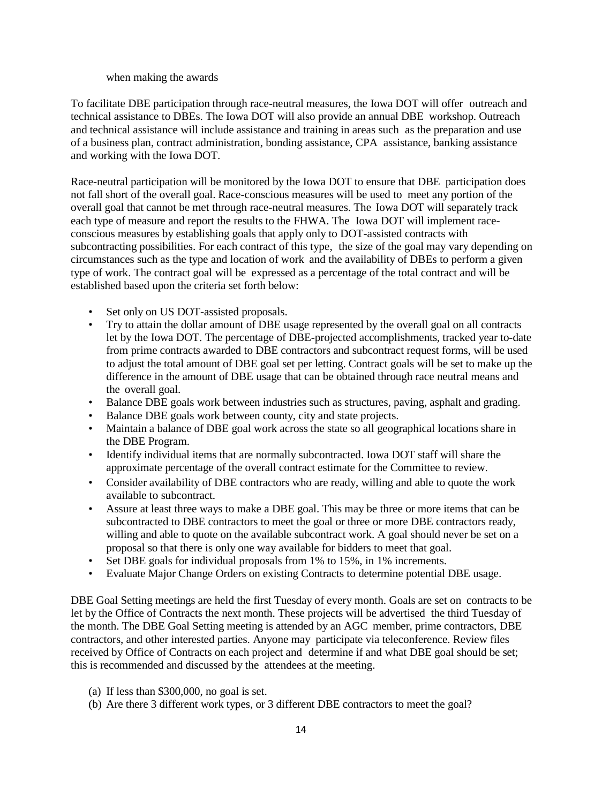### when making the awards

To facilitate DBE participation through race-neutral measures, the Iowa DOT will offer outreach and technical assistance to DBEs. The Iowa DOT will also provide an annual DBE workshop. Outreach and technical assistance will include assistance and training in areas such as the preparation and use of a business plan, contract administration, bonding assistance, CPA assistance, banking assistance and working with the Iowa DOT.

Race-neutral participation will be monitored by the Iowa DOT to ensure that DBE participation does not fall short of the overall goal. Race-conscious measures will be used to meet any portion of the overall goal that cannot be met through race-neutral measures. The Iowa DOT will separately track each type of measure and report the results to the FHWA. The Iowa DOT will implement raceconscious measures by establishing goals that apply only to DOT-assisted contracts with subcontracting possibilities. For each contract of this type, the size of the goal may vary depending on circumstances such as the type and location of work and the availability of DBEs to perform a given type of work. The contract goal will be expressed as a percentage of the total contract and will be established based upon the criteria set forth below:

- Set only on US DOT-assisted proposals.
- Try to attain the dollar amount of DBE usage represented by the overall goal on all contracts let by the Iowa DOT. The percentage of DBE-projected accomplishments, tracked year to-date from prime contracts awarded to DBE contractors and subcontract request forms, will be used to adjust the total amount of DBE goal set per letting. Contract goals will be set to make up the difference in the amount of DBE usage that can be obtained through race neutral means and the overall goal.
- Balance DBE goals work between industries such as structures, paving, asphalt and grading.
- Balance DBE goals work between county, city and state projects.
- Maintain a balance of DBE goal work across the state so all geographical locations share in the DBE Program.
- Identify individual items that are normally subcontracted. Iowa DOT staff will share the approximate percentage of the overall contract estimate for the Committee to review.
- Consider availability of DBE contractors who are ready, willing and able to quote the work available to subcontract.
- Assure at least three ways to make a DBE goal. This may be three or more items that can be subcontracted to DBE contractors to meet the goal or three or more DBE contractors ready, willing and able to quote on the available subcontract work. A goal should never be set on a proposal so that there is only one way available for bidders to meet that goal.
- Set DBE goals for individual proposals from 1% to 15%, in 1% increments.
- Evaluate Major Change Orders on existing Contracts to determine potential DBE usage.

DBE Goal Setting meetings are held the first Tuesday of every month. Goals are set on contracts to be let by the Office of Contracts the next month. These projects will be advertised the third Tuesday of the month. The DBE Goal Setting meeting is attended by an AGC member, prime contractors, DBE contractors, and other interested parties. Anyone may participate via teleconference. Review files received by Office of Contracts on each project and determine if and what DBE goal should be set; this is recommended and discussed by the attendees at the meeting.

- (a) If less than \$300,000, no goal is set.
- (b) Are there 3 different work types, or 3 different DBE contractors to meet the goal?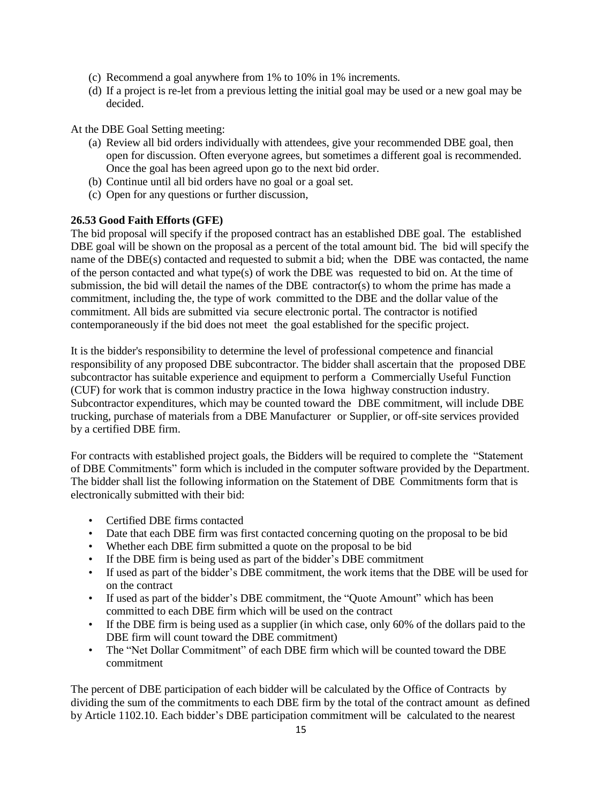- (c) Recommend a goal anywhere from 1% to 10% in 1% increments.
- (d) If a project is re-let from a previous letting the initial goal may be used or a new goal may be decided.

At the DBE Goal Setting meeting:

- (a) Review all bid orders individually with attendees, give your recommended DBE goal, then open for discussion. Often everyone agrees, but sometimes a different goal is recommended. Once the goal has been agreed upon go to the next bid order.
- (b) Continue until all bid orders have no goal or a goal set.
- (c) Open for any questions or further discussion,

# <span id="page-17-0"></span>**26.53 Good Faith Efforts (GFE)**

The bid proposal will specify if the proposed contract has an established DBE goal. The established DBE goal will be shown on the proposal as a percent of the total amount bid. The bid will specify the name of the DBE(s) contacted and requested to submit a bid; when the DBE was contacted, the name of the person contacted and what type(s) of work the DBE was requested to bid on. At the time of submission, the bid will detail the names of the DBE contractor(s) to whom the prime has made a commitment, including the, the type of work committed to the DBE and the dollar value of the commitment. All bids are submitted via secure electronic portal. The contractor is notified contemporaneously if the bid does not meet the goal established for the specific project.

It is the bidder's responsibility to determine the level of professional competence and financial responsibility of any proposed DBE subcontractor. The bidder shall ascertain that the proposed DBE subcontractor has suitable experience and equipment to perform a Commercially Useful Function (CUF) for work that is common industry practice in the Iowa highway construction industry. Subcontractor expenditures, which may be counted toward the DBE commitment, will include DBE trucking, purchase of materials from a DBE Manufacturer or Supplier, or off-site services provided by a certified DBE firm.

For contracts with established project goals, the Bidders will be required to complete the "Statement of DBE Commitments" form which is included in the computer software provided by the Department. The bidder shall list the following information on the Statement of DBE Commitments form that is electronically submitted with their bid:

- Certified DBE firms contacted
- Date that each DBE firm was first contacted concerning quoting on the proposal to be bid
- Whether each DBE firm submitted a quote on the proposal to be bid
- If the DBE firm is being used as part of the bidder's DBE commitment
- If used as part of the bidder's DBE commitment, the work items that the DBE will be used for on the contract
- If used as part of the bidder's DBE commitment, the "Quote Amount" which has been committed to each DBE firm which will be used on the contract
- If the DBE firm is being used as a supplier (in which case, only 60% of the dollars paid to the DBE firm will count toward the DBE commitment)
- The "Net Dollar Commitment" of each DBE firm which will be counted toward the DBE commitment

The percent of DBE participation of each bidder will be calculated by the Office of Contracts by dividing the sum of the commitments to each DBE firm by the total of the contract amount as defined by Article 1102.10. Each bidder's DBE participation commitment will be calculated to the nearest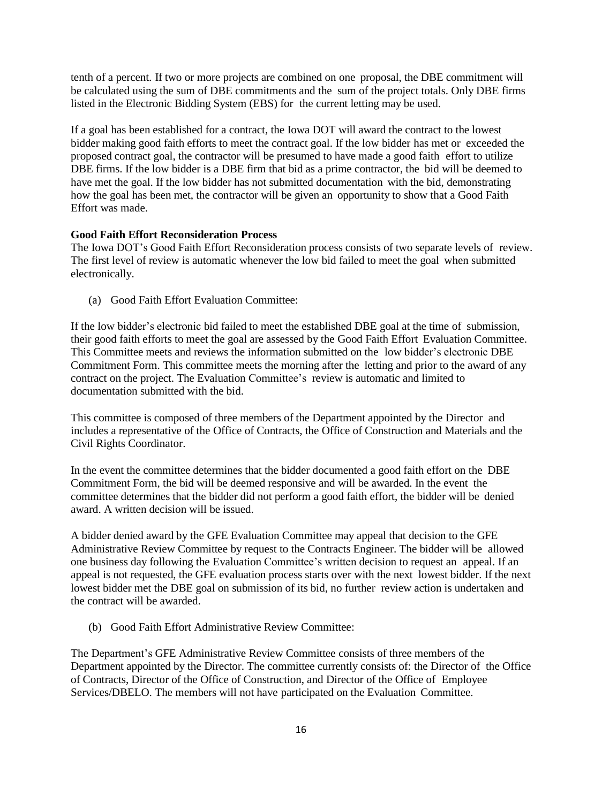tenth of a percent. If two or more projects are combined on one proposal, the DBE commitment will be calculated using the sum of DBE commitments and the sum of the project totals. Only DBE firms listed in the Electronic Bidding System (EBS) for the current letting may be used.

If a goal has been established for a contract, the Iowa DOT will award the contract to the lowest bidder making good faith efforts to meet the contract goal. If the low bidder has met or exceeded the proposed contract goal, the contractor will be presumed to have made a good faith effort to utilize DBE firms. If the low bidder is a DBE firm that bid as a prime contractor, the bid will be deemed to have met the goal. If the low bidder has not submitted documentation with the bid, demonstrating how the goal has been met, the contractor will be given an opportunity to show that a Good Faith Effort was made.

# **Good Faith Effort Reconsideration Process**

The Iowa DOT's Good Faith Effort Reconsideration process consists of two separate levels of review. The first level of review is automatic whenever the low bid failed to meet the goal when submitted electronically.

(a) Good Faith Effort Evaluation Committee:

If the low bidder's electronic bid failed to meet the established DBE goal at the time of submission, their good faith efforts to meet the goal are assessed by the Good Faith Effort Evaluation Committee. This Committee meets and reviews the information submitted on the low bidder's electronic DBE Commitment Form. This committee meets the morning after the letting and prior to the award of any contract on the project. The Evaluation Committee's review is automatic and limited to documentation submitted with the bid.

This committee is composed of three members of the Department appointed by the Director and includes a representative of the Office of Contracts, the Office of Construction and Materials and the Civil Rights Coordinator.

In the event the committee determines that the bidder documented a good faith effort on the DBE Commitment Form, the bid will be deemed responsive and will be awarded. In the event the committee determines that the bidder did not perform a good faith effort, the bidder will be denied award. A written decision will be issued.

A bidder denied award by the GFE Evaluation Committee may appeal that decision to the GFE Administrative Review Committee by request to the Contracts Engineer. The bidder will be allowed one business day following the Evaluation Committee's written decision to request an appeal. If an appeal is not requested, the GFE evaluation process starts over with the next lowest bidder. If the next lowest bidder met the DBE goal on submission of its bid, no further review action is undertaken and the contract will be awarded.

(b) Good Faith Effort Administrative Review Committee:

The Department's GFE Administrative Review Committee consists of three members of the Department appointed by the Director. The committee currently consists of: the Director of the Office of Contracts, Director of the Office of Construction, and Director of the Office of Employee Services/DBELO. The members will not have participated on the Evaluation Committee.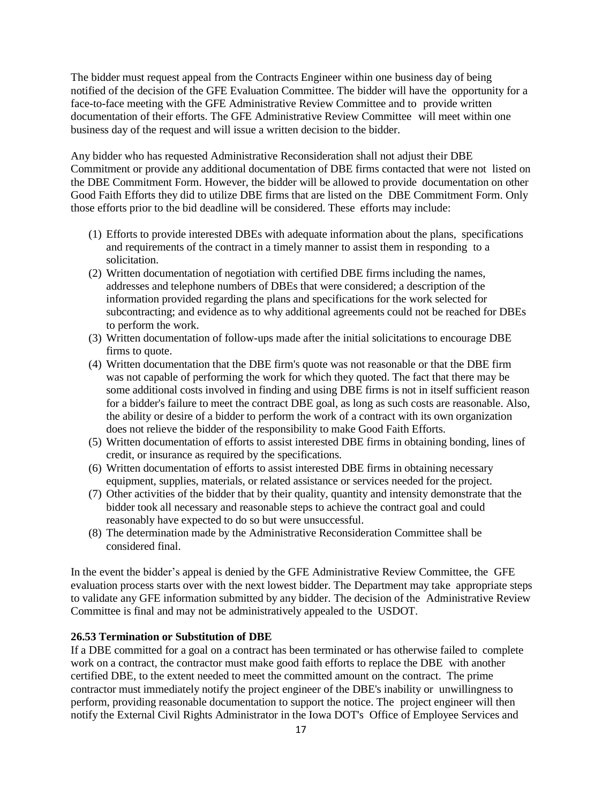The bidder must request appeal from the Contracts Engineer within one business day of being notified of the decision of the GFE Evaluation Committee. The bidder will have the opportunity for a face-to-face meeting with the GFE Administrative Review Committee and to provide written documentation of their efforts. The GFE Administrative Review Committee will meet within one business day of the request and will issue a written decision to the bidder.

Any bidder who has requested Administrative Reconsideration shall not adjust their DBE Commitment or provide any additional documentation of DBE firms contacted that were not listed on the DBE Commitment Form. However, the bidder will be allowed to provide documentation on other Good Faith Efforts they did to utilize DBE firms that are listed on the DBE Commitment Form. Only those efforts prior to the bid deadline will be considered. These efforts may include:

- (1) Efforts to provide interested DBEs with adequate information about the plans, specifications and requirements of the contract in a timely manner to assist them in responding to a solicitation.
- (2) Written documentation of negotiation with certified DBE firms including the names, addresses and telephone numbers of DBEs that were considered; a description of the information provided regarding the plans and specifications for the work selected for subcontracting; and evidence as to why additional agreements could not be reached for DBEs to perform the work.
- (3) Written documentation of follow-ups made after the initial solicitations to encourage DBE firms to quote.
- (4) Written documentation that the DBE firm's quote was not reasonable or that the DBE firm was not capable of performing the work for which they quoted. The fact that there may be some additional costs involved in finding and using DBE firms is not in itself sufficient reason for a bidder's failure to meet the contract DBE goal, as long as such costs are reasonable. Also, the ability or desire of a bidder to perform the work of a contract with its own organization does not relieve the bidder of the responsibility to make Good Faith Efforts.
- (5) Written documentation of efforts to assist interested DBE firms in obtaining bonding, lines of credit, or insurance as required by the specifications.
- (6) Written documentation of efforts to assist interested DBE firms in obtaining necessary equipment, supplies, materials, or related assistance or services needed for the project.
- (7) Other activities of the bidder that by their quality, quantity and intensity demonstrate that the bidder took all necessary and reasonable steps to achieve the contract goal and could reasonably have expected to do so but were unsuccessful.
- (8) The determination made by the Administrative Reconsideration Committee shall be considered final.

In the event the bidder's appeal is denied by the GFE Administrative Review Committee, the GFE evaluation process starts over with the next lowest bidder. The Department may take appropriate steps to validate any GFE information submitted by any bidder. The decision of the Administrative Review Committee is final and may not be administratively appealed to the USDOT.

# <span id="page-19-0"></span>**26.53 Termination or Substitution of DBE**

If a DBE committed for a goal on a contract has been terminated or has otherwise failed to complete work on a contract, the contractor must make good faith efforts to replace the DBE with another certified DBE, to the extent needed to meet the committed amount on the contract. The prime contractor must immediately notify the project engineer of the DBE's inability or unwillingness to perform, providing reasonable documentation to support the notice. The project engineer will then notify the External Civil Rights Administrator in the Iowa DOT's Office of Employee Services and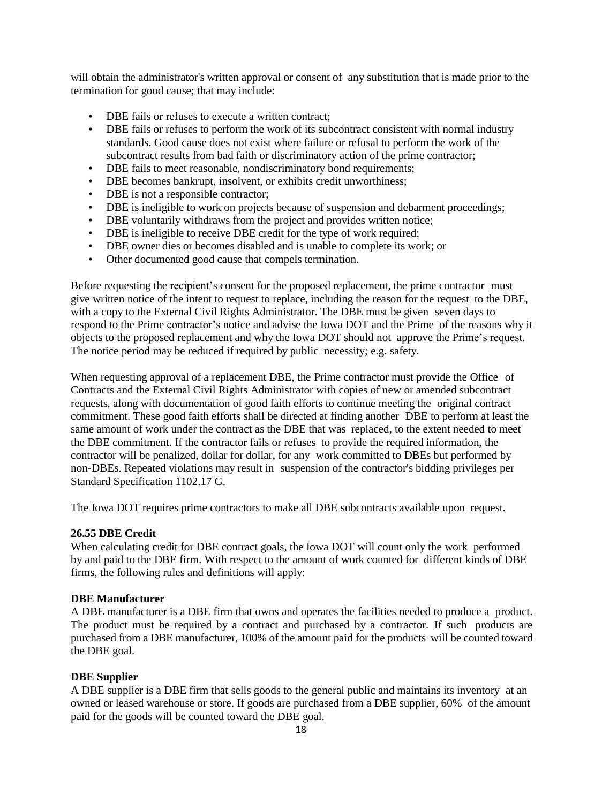will obtain the administrator's written approval or consent of any substitution that is made prior to the termination for good cause; that may include:

- DBE fails or refuses to execute a written contract:
- DBE fails or refuses to perform the work of its subcontract consistent with normal industry standards. Good cause does not exist where failure or refusal to perform the work of the subcontract results from bad faith or discriminatory action of the prime contractor;
- DBE fails to meet reasonable, nondiscriminatory bond requirements;
- DBE becomes bankrupt, insolvent, or exhibits credit unworthiness;
- DBE is not a responsible contractor;
- DBE is ineligible to work on projects because of suspension and debarment proceedings;
- DBE voluntarily withdraws from the project and provides written notice;
- DBE is ineligible to receive DBE credit for the type of work required;
- DBE owner dies or becomes disabled and is unable to complete its work; or
- Other documented good cause that compels termination.

Before requesting the recipient's consent for the proposed replacement, the prime contractor must give written notice of the intent to request to replace, including the reason for the request to the DBE, with a copy to the External Civil Rights Administrator. The DBE must be given seven days to respond to the Prime contractor's notice and advise the Iowa DOT and the Prime of the reasons why it objects to the proposed replacement and why the Iowa DOT should not approve the Prime's request. The notice period may be reduced if required by public necessity; e.g. safety.

When requesting approval of a replacement DBE, the Prime contractor must provide the Office of Contracts and the External Civil Rights Administrator with copies of new or amended subcontract requests, along with documentation of good faith efforts to continue meeting the original contract commitment. These good faith efforts shall be directed at finding another DBE to perform at least the same amount of work under the contract as the DBE that was replaced, to the extent needed to meet the DBE commitment. If the contractor fails or refuses to provide the required information, the contractor will be penalized, dollar for dollar, for any work committed to DBEs but performed by non-DBEs. Repeated violations may result in suspension of the contractor's bidding privileges per Standard Specification 1102.17 G.

<span id="page-20-0"></span>The Iowa DOT requires prime contractors to make all DBE subcontracts available upon request.

# **26.55 DBE Credit**

When calculating credit for DBE contract goals, the Iowa DOT will count only the work performed by and paid to the DBE firm. With respect to the amount of work counted for different kinds of DBE firms, the following rules and definitions will apply:

# **DBE Manufacturer**

A DBE manufacturer is a DBE firm that owns and operates the facilities needed to produce a product. The product must be required by a contract and purchased by a contractor. If such products are purchased from a DBE manufacturer, 100% of the amount paid for the products will be counted toward the DBE goal.

# **DBE Supplier**

A DBE supplier is a DBE firm that sells goods to the general public and maintains its inventory at an owned or leased warehouse or store. If goods are purchased from a DBE supplier, 60% of the amount paid for the goods will be counted toward the DBE goal.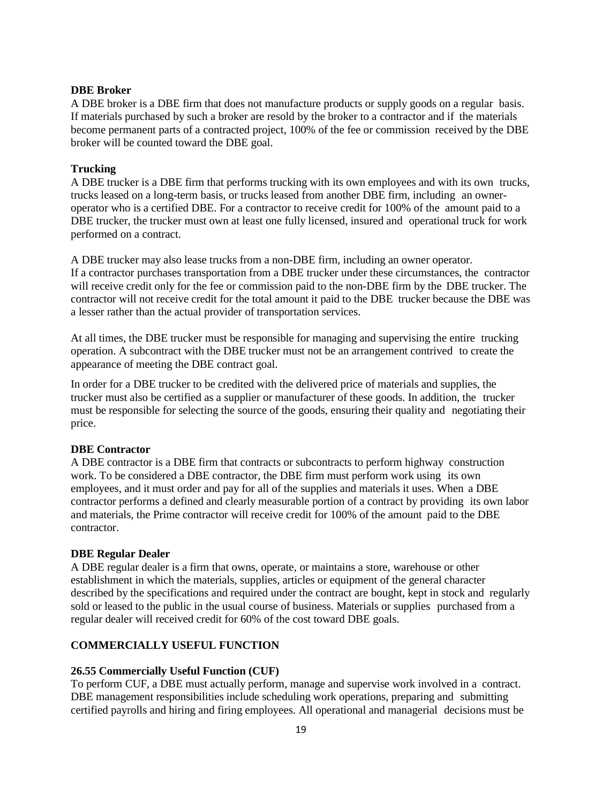#### **DBE Broker**

A DBE broker is a DBE firm that does not manufacture products or supply goods on a regular basis. If materials purchased by such a broker are resold by the broker to a contractor and if the materials become permanent parts of a contracted project, 100% of the fee or commission received by the DBE broker will be counted toward the DBE goal.

#### **Trucking**

A DBE trucker is a DBE firm that performs trucking with its own employees and with its own trucks, trucks leased on a long-term basis, or trucks leased from another DBE firm, including an owneroperator who is a certified DBE. For a contractor to receive credit for 100% of the amount paid to a DBE trucker, the trucker must own at least one fully licensed, insured and operational truck for work performed on a contract.

A DBE trucker may also lease trucks from a non-DBE firm, including an owner operator. If a contractor purchases transportation from a DBE trucker under these circumstances, the contractor will receive credit only for the fee or commission paid to the non-DBE firm by the DBE trucker. The contractor will not receive credit for the total amount it paid to the DBE trucker because the DBE was a lesser rather than the actual provider of transportation services.

At all times, the DBE trucker must be responsible for managing and supervising the entire trucking operation. A subcontract with the DBE trucker must not be an arrangement contrived to create the appearance of meeting the DBE contract goal.

In order for a DBE trucker to be credited with the delivered price of materials and supplies, the trucker must also be certified as a supplier or manufacturer of these goods. In addition, the trucker must be responsible for selecting the source of the goods, ensuring their quality and negotiating their price.

#### **DBE Contractor**

A DBE contractor is a DBE firm that contracts or subcontracts to perform highway construction work. To be considered a DBE contractor, the DBE firm must perform work using its own employees, and it must order and pay for all of the supplies and materials it uses. When a DBE contractor performs a defined and clearly measurable portion of a contract by providing its own labor and materials, the Prime contractor will receive credit for 100% of the amount paid to the DBE contractor.

#### **DBE Regular Dealer**

A DBE regular dealer is a firm that owns, operate, or maintains a store, warehouse or other establishment in which the materials, supplies, articles or equipment of the general character described by the specifications and required under the contract are bought, kept in stock and regularly sold or leased to the public in the usual course of business. Materials or supplies purchased from a regular dealer will received credit for 60% of the cost toward DBE goals.

# <span id="page-21-0"></span>**COMMERCIALLY USEFUL FUNCTION**

### **26.55 Commercially Useful Function (CUF)**

To perform CUF, a DBE must actually perform, manage and supervise work involved in a contract. DBE management responsibilities include scheduling work operations, preparing and submitting certified payrolls and hiring and firing employees. All operational and managerial decisions must be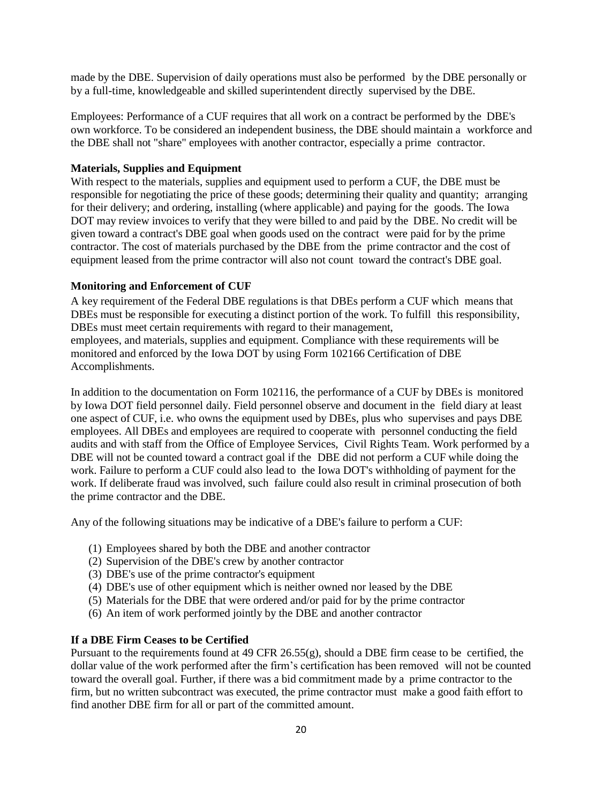made by the DBE. Supervision of daily operations must also be performed by the DBE personally or by a full-time, knowledgeable and skilled superintendent directly supervised by the DBE.

Employees: Performance of a CUF requires that all work on a contract be performed by the DBE's own workforce. To be considered an independent business, the DBE should maintain a workforce and the DBE shall not "share" employees with another contractor, especially a prime contractor.

# **Materials, Supplies and Equipment**

With respect to the materials, supplies and equipment used to perform a CUF, the DBE must be responsible for negotiating the price of these goods; determining their quality and quantity; arranging for their delivery; and ordering, installing (where applicable) and paying for the goods. The Iowa DOT may review invoices to verify that they were billed to and paid by the DBE. No credit will be given toward a contract's DBE goal when goods used on the contract were paid for by the prime contractor. The cost of materials purchased by the DBE from the prime contractor and the cost of equipment leased from the prime contractor will also not count toward the contract's DBE goal.

# **Monitoring and Enforcement of CUF**

A key requirement of the Federal DBE regulations is that DBEs perform a CUF which means that DBEs must be responsible for executing a distinct portion of the work. To fulfill this responsibility, DBEs must meet certain requirements with regard to their management, employees, and materials, supplies and equipment. Compliance with these requirements will be monitored and enforced by the Iowa DOT by using Form 102166 Certification of DBE Accomplishments.

In addition to the documentation on Form 102116, the performance of a CUF by DBEs is monitored by Iowa DOT field personnel daily. Field personnel observe and document in the field diary at least one aspect of CUF, i.e. who owns the equipment used by DBEs, plus who supervises and pays DBE employees. All DBEs and employees are required to cooperate with personnel conducting the field audits and with staff from the Office of Employee Services, Civil Rights Team. Work performed by a DBE will not be counted toward a contract goal if the DBE did not perform a CUF while doing the work. Failure to perform a CUF could also lead to the Iowa DOT's withholding of payment for the work. If deliberate fraud was involved, such failure could also result in criminal prosecution of both the prime contractor and the DBE.

Any of the following situations may be indicative of a DBE's failure to perform a CUF:

- (1) Employees shared by both the DBE and another contractor
- (2) Supervision of the DBE's crew by another contractor
- (3) DBE's use of the prime contractor's equipment
- (4) DBE's use of other equipment which is neither owned nor leased by the DBE
- (5) Materials for the DBE that were ordered and/or paid for by the prime contractor
- (6) An item of work performed jointly by the DBE and another contractor

# **If a DBE Firm Ceases to be Certified**

Pursuant to the requirements found at 49 CFR 26.55(g), should a DBE firm cease to be certified, the dollar value of the work performed after the firm's certification has been removed will not be counted toward the overall goal. Further, if there was a bid commitment made by a prime contractor to the firm, but no written subcontract was executed, the prime contractor must make a good faith effort to find another DBE firm for all or part of the committed amount.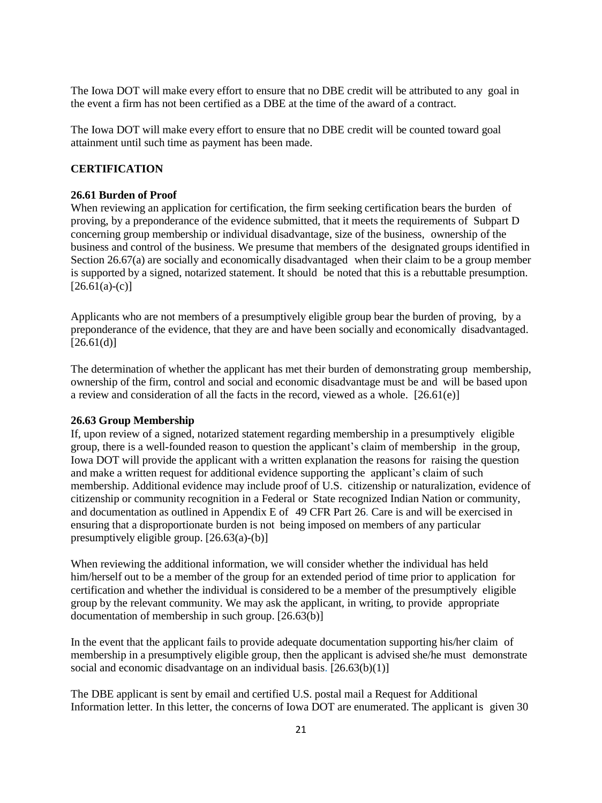The Iowa DOT will make every effort to ensure that no DBE credit will be attributed to any goal in the event a firm has not been certified as a DBE at the time of the award of a contract.

The Iowa DOT will make every effort to ensure that no DBE credit will be counted toward goal attainment until such time as payment has been made.

# <span id="page-23-0"></span>**CERTIFICATION**

### **26.61 Burden of Proof**

When reviewing an application for certification, the firm seeking certification bears the burden of proving, by a preponderance of the evidence submitted, that it meets the requirements of Subpart D concerning group membership or individual disadvantage, size of the business, ownership of the business and control of the business. We presume that members of the designated groups identified in Section 26.67(a) are socially and economically disadvantaged when their claim to be a group member is supported by a signed, notarized statement. It should be noted that this is a rebuttable presumption.  $[26.61(a)-(c)]$ 

Applicants who are not members of a presumptively eligible group bear the burden of proving, by a preponderance of the evidence, that they are and have been socially and economically disadvantaged.  $[26.61(d)]$ 

The determination of whether the applicant has met their burden of demonstrating group membership, ownership of the firm, control and social and economic disadvantage must be and will be based upon a review and consideration of all the facts in the record, viewed as a whole. [26.61(e)]

# <span id="page-23-1"></span>**26.63 Group Membership**

If, upon review of a signed, notarized statement regarding membership in a presumptively eligible group, there is a well-founded reason to question the applicant's claim of membership in the group, Iowa DOT will provide the applicant with a written explanation the reasons for raising the question and make a written request for additional evidence supporting the applicant's claim of such membership. Additional evidence may include proof of U.S. citizenship or naturalization, evidence of citizenship or community recognition in a Federal or State recognized Indian Nation or community, and documentation as outlined in Appendix E of 49 CFR Part 26. Care is and will be exercised in ensuring that a disproportionate burden is not being imposed on members of any particular presumptively eligible group. [26.63(a)-(b)]

When reviewing the additional information, we will consider whether the individual has held him/herself out to be a member of the group for an extended period of time prior to application for certification and whether the individual is considered to be a member of the presumptively eligible group by the relevant community. We may ask the applicant, in writing, to provide appropriate documentation of membership in such group. [26.63(b)]

In the event that the applicant fails to provide adequate documentation supporting his/her claim of membership in a presumptively eligible group, then the applicant is advised she/he must demonstrate social and economic disadvantage on an individual basis. [26.63(b)(1)]

The DBE applicant is sent by email and certified U.S. postal mail a Request for Additional Information letter. In this letter, the concerns of Iowa DOT are enumerated. The applicant is given 30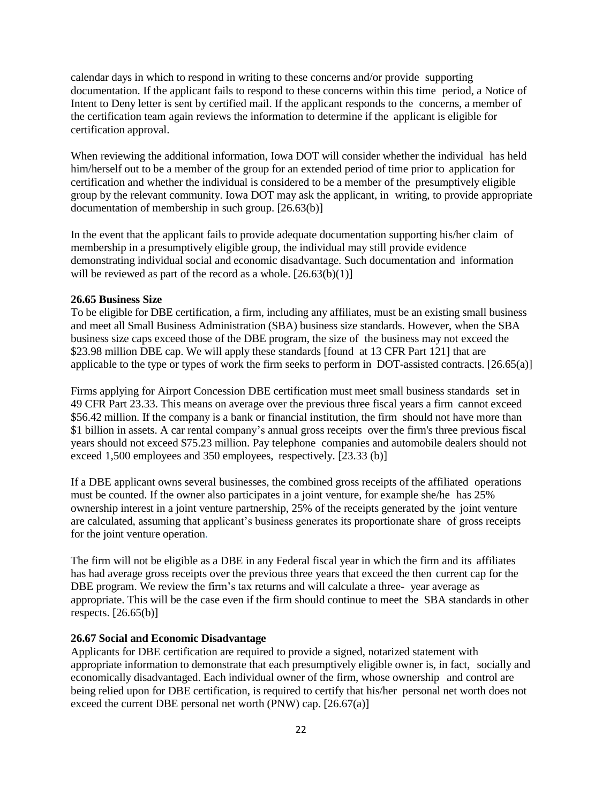calendar days in which to respond in writing to these concerns and/or provide supporting documentation. If the applicant fails to respond to these concerns within this time period, a Notice of Intent to Deny letter is sent by certified mail. If the applicant responds to the concerns, a member of the certification team again reviews the information to determine if the applicant is eligible for certification approval.

When reviewing the additional information, Iowa DOT will consider whether the individual has held him/herself out to be a member of the group for an extended period of time prior to application for certification and whether the individual is considered to be a member of the presumptively eligible group by the relevant community. Iowa DOT may ask the applicant, in writing, to provide appropriate documentation of membership in such group. [26.63(b)]

In the event that the applicant fails to provide adequate documentation supporting his/her claim of membership in a presumptively eligible group, the individual may still provide evidence demonstrating individual social and economic disadvantage. Such documentation and information will be reviewed as part of the record as a whole.  $[26.63(b)(1)]$ 

#### <span id="page-24-0"></span>**26.65 Business Size**

To be eligible for DBE certification, a firm, including any affiliates, must be an existing small business and meet all Small Business Administration (SBA) business size standards. However, when the SBA business size caps exceed those of the DBE program, the size of the business may not exceed the \$23.98 million DBE cap. We will apply these standards [found at 13 CFR Part 121] that are applicable to the type or types of work the firm seeks to perform in DOT-assisted contracts. [26.65(a)]

Firms applying for Airport Concession DBE certification must meet small business standards set in 49 CFR Part 23.33. This means on average over the previous three fiscal years a firm cannot exceed \$56.42 million. If the company is a bank or financial institution, the firm should not have more than \$1 billion in assets. A car rental company's annual gross receipts over the firm's three previous fiscal years should not exceed \$75.23 million. Pay telephone companies and automobile dealers should not exceed 1,500 employees and 350 employees, respectively. [23.33 (b)]

If a DBE applicant owns several businesses, the combined gross receipts of the affiliated operations must be counted. If the owner also participates in a joint venture, for example she/he has 25% ownership interest in a joint venture partnership, 25% of the receipts generated by the joint venture are calculated, assuming that applicant's business generates its proportionate share of gross receipts for the joint venture operation.

The firm will not be eligible as a DBE in any Federal fiscal year in which the firm and its affiliates has had average gross receipts over the previous three years that exceed the then current cap for the DBE program. We review the firm's tax returns and will calculate a three- year average as appropriate. This will be the case even if the firm should continue to meet the SBA standards in other respects.  $[26.65(b)]$ 

#### <span id="page-24-1"></span>**26.67 Social and Economic Disadvantage**

Applicants for DBE certification are required to provide a signed, notarized statement with appropriate information to demonstrate that each presumptively eligible owner is, in fact, socially and economically disadvantaged. Each individual owner of the firm, whose ownership and control are being relied upon for DBE certification, is required to certify that his/her personal net worth does not exceed the current DBE personal net worth (PNW) cap. [26.67(a)]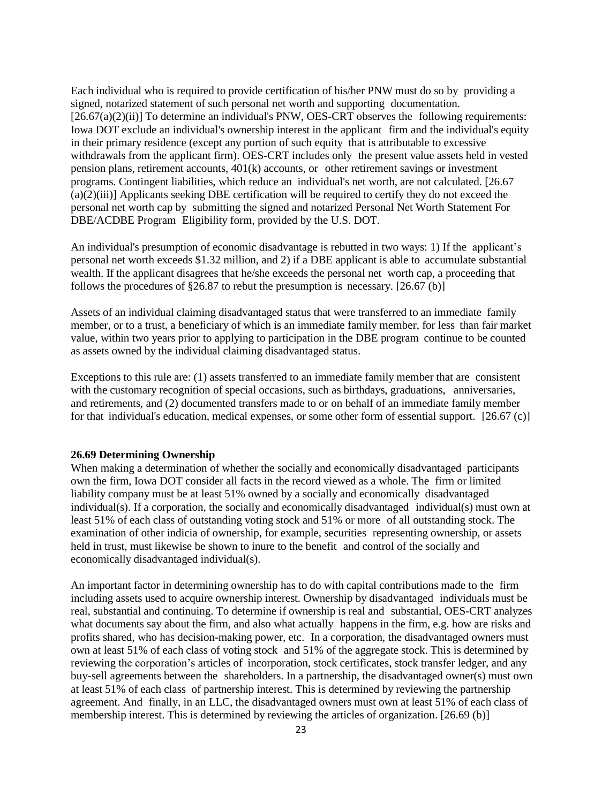Each individual who is required to provide certification of his/her PNW must do so by providing a signed, notarized statement of such personal net worth and supporting documentation. [26.67(a)(2)(ii)] To determine an individual's PNW, OES-CRT observes the following requirements: Iowa DOT exclude an individual's ownership interest in the applicant firm and the individual's equity in their primary residence (except any portion of such equity that is attributable to excessive withdrawals from the applicant firm). OES-CRT includes only the present value assets held in vested pension plans, retirement accounts, 401(k) accounts, or other retirement savings or investment programs. Contingent liabilities, which reduce an individual's net worth, are not calculated. [26.67 (a)(2)(iii)] Applicants seeking DBE certification will be required to certify they do not exceed the personal net worth cap by submitting the signed and notarized Personal Net Worth Statement For DBE/ACDBE Program Eligibility form, provided by the U.S. DOT.

An individual's presumption of economic disadvantage is rebutted in two ways: 1) If the applicant's personal net worth exceeds \$1.32 million, and 2) if a DBE applicant is able to accumulate substantial wealth. If the applicant disagrees that he/she exceeds the personal net worth cap, a proceeding that follows the procedures of §26.87 to rebut the presumption is necessary. [26.67 (b)]

Assets of an individual claiming disadvantaged status that were transferred to an immediate family member, or to a trust, a beneficiary of which is an immediate family member, for less than fair market value, within two years prior to applying to participation in the DBE program continue to be counted as assets owned by the individual claiming disadvantaged status.

Exceptions to this rule are: (1) assets transferred to an immediate family member that are consistent with the customary recognition of special occasions, such as birthdays, graduations, anniversaries, and retirements, and (2) documented transfers made to or on behalf of an immediate family member for that individual's education, medical expenses, or some other form of essential support. [26.67 (c)]

#### <span id="page-25-0"></span>**26.69 Determining Ownership**

When making a determination of whether the socially and economically disadvantaged participants own the firm, Iowa DOT consider all facts in the record viewed as a whole. The firm or limited liability company must be at least 51% owned by a socially and economically disadvantaged individual(s). If a corporation, the socially and economically disadvantaged individual(s) must own at least 51% of each class of outstanding voting stock and 51% or more of all outstanding stock. The examination of other indicia of ownership, for example, securities representing ownership, or assets held in trust, must likewise be shown to inure to the benefit and control of the socially and economically disadvantaged individual(s).

An important factor in determining ownership has to do with capital contributions made to the firm including assets used to acquire ownership interest. Ownership by disadvantaged individuals must be real, substantial and continuing. To determine if ownership is real and substantial, OES-CRT analyzes what documents say about the firm, and also what actually happens in the firm, e.g. how are risks and profits shared, who has decision-making power, etc. In a corporation, the disadvantaged owners must own at least 51% of each class of voting stock and 51% of the aggregate stock. This is determined by reviewing the corporation's articles of incorporation, stock certificates, stock transfer ledger, and any buy-sell agreements between the shareholders. In a partnership, the disadvantaged owner(s) must own at least 51% of each class of partnership interest. This is determined by reviewing the partnership agreement. And finally, in an LLC, the disadvantaged owners must own at least 51% of each class of membership interest. This is determined by reviewing the articles of organization. [26.69 (b)]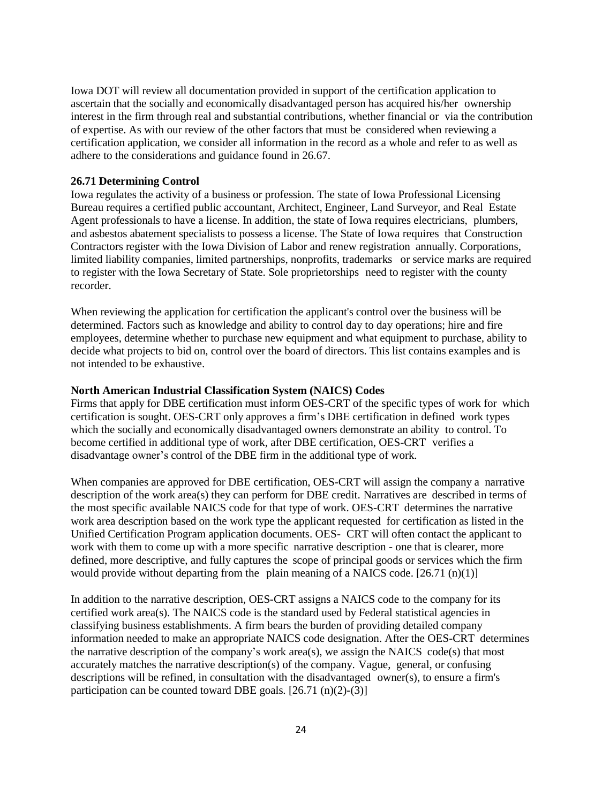Iowa DOT will review all documentation provided in support of the certification application to ascertain that the socially and economically disadvantaged person has acquired his/her ownership interest in the firm through real and substantial contributions, whether financial or via the contribution of expertise. As with our review of the other factors that must be considered when reviewing a certification application, we consider all information in the record as a whole and refer to as well as adhere to the considerations and guidance found in 26.67.

### <span id="page-26-0"></span>**26.71 Determining Control**

Iowa regulates the activity of a business or profession. The state of Iowa Professional Licensing Bureau requires a certified public accountant, Architect, Engineer, Land Surveyor, and Real Estate Agent professionals to have a license. In addition, the state of Iowa requires electricians, plumbers, and asbestos abatement specialists to possess a license. The State of Iowa requires that Construction Contractors register with the Iowa Division of Labor and renew registration annually. Corporations, limited liability companies, limited partnerships, nonprofits, trademarks or service marks are required to register with the Iowa Secretary of State. Sole proprietorships need to register with the county recorder.

When reviewing the application for certification the applicant's control over the business will be determined. Factors such as knowledge and ability to control day to day operations; hire and fire employees, determine whether to purchase new equipment and what equipment to purchase, ability to decide what projects to bid on, control over the board of directors. This list contains examples and is not intended to be exhaustive.

#### **North American Industrial Classification System (NAICS) Codes**

Firms that apply for DBE certification must inform OES-CRT of the specific types of work for which certification is sought. OES-CRT only approves a firm's DBE certification in defined work types which the socially and economically disadvantaged owners demonstrate an ability to control. To become certified in additional type of work, after DBE certification, OES-CRT verifies a disadvantage owner's control of the DBE firm in the additional type of work.

When companies are approved for DBE certification, OES-CRT will assign the company a narrative description of the work area(s) they can perform for DBE credit. Narratives are described in terms of the most specific available NAICS code for that type of work. OES-CRT determines the narrative work area description based on the work type the applicant requested for certification as listed in the Unified Certification Program application documents. OES- CRT will often contact the applicant to work with them to come up with a more specific narrative description - one that is clearer, more defined, more descriptive, and fully captures the scope of principal goods or services which the firm would provide without departing from the plain meaning of a NAICS code.  $[26.71 \text{ (n)}(1)]$ 

In addition to the narrative description, OES-CRT assigns a NAICS code to the company for its certified work area(s). The NAICS code is the standard used by Federal statistical agencies in classifying business establishments. A firm bears the burden of providing detailed company information needed to make an appropriate NAICS code designation. After the OES-CRT determines the narrative description of the company's work area(s), we assign the NAICS code(s) that most accurately matches the narrative description(s) of the company. Vague, general, or confusing descriptions will be refined, in consultation with the disadvantaged owner(s), to ensure a firm's participation can be counted toward DBE goals.  $[26.71 \text{ (n)}(2)-(3)]$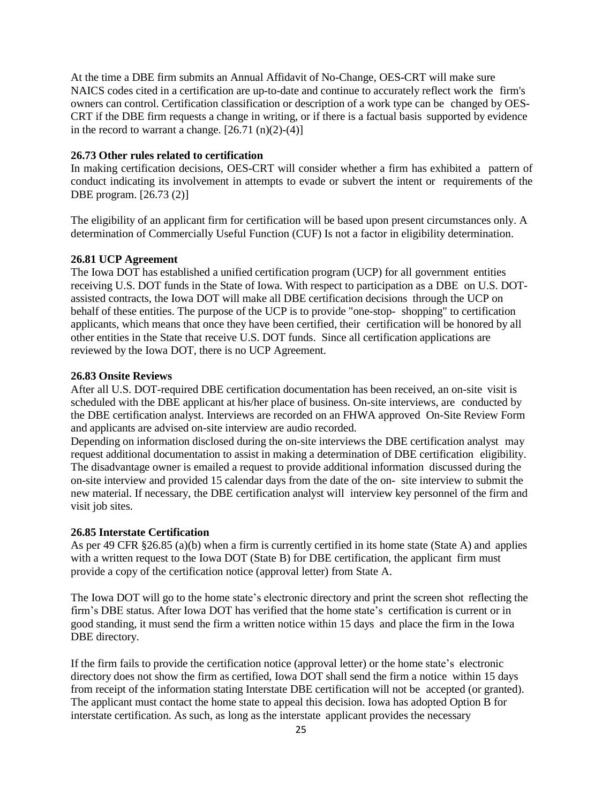At the time a DBE firm submits an Annual Affidavit of No-Change, OES-CRT will make sure NAICS codes cited in a certification are up-to-date and continue to accurately reflect work the firm's owners can control. Certification classification or description of a work type can be changed by OES-CRT if the DBE firm requests a change in writing, or if there is a factual basis supported by evidence in the record to warrant a change.  $[26.71 \text{ (n)}(2)-(4)]$ 

# <span id="page-27-0"></span>**26.73 Other rules related to certification**

In making certification decisions, OES-CRT will consider whether a firm has exhibited a pattern of conduct indicating its involvement in attempts to evade or subvert the intent or requirements of the DBE program. [26.73 (2)]

The eligibility of an applicant firm for certification will be based upon present circumstances only. A determination of Commercially Useful Function (CUF) Is not a factor in eligibility determination.

# <span id="page-27-1"></span>**26.81 UCP Agreement**

The Iowa DOT has established a unified certification program (UCP) for all government entities receiving U.S. DOT funds in the State of Iowa. With respect to participation as a DBE on U.S. DOTassisted contracts, the Iowa DOT will make all DBE certification decisions through the UCP on behalf of these entities. The purpose of the UCP is to provide "one-stop- shopping" to certification applicants, which means that once they have been certified, their certification will be honored by all other entities in the State that receive U.S. DOT funds. Since all certification applications are reviewed by the Iowa DOT, there is no UCP Agreement.

# <span id="page-27-2"></span>**26.83 Onsite Reviews**

After all U.S. DOT-required DBE certification documentation has been received, an on-site visit is scheduled with the DBE applicant at his/her place of business. On-site interviews, are conducted by the DBE certification analyst. Interviews are recorded on an FHWA approved On-Site Review Form and applicants are advised on-site interview are audio recorded.

Depending on information disclosed during the on-site interviews the DBE certification analyst may request additional documentation to assist in making a determination of DBE certification eligibility. The disadvantage owner is emailed a request to provide additional information discussed during the on-site interview and provided 15 calendar days from the date of the on- site interview to submit the new material. If necessary, the DBE certification analyst will interview key personnel of the firm and visit job sites.

# <span id="page-27-3"></span>**26.85 Interstate Certification**

As per 49 CFR §26.85 (a)(b) when a firm is currently certified in its home state (State A) and applies with a written request to the Iowa DOT (State B) for DBE certification, the applicant firm must provide a copy of the certification notice (approval letter) from State A.

The Iowa DOT will go to the home state's electronic directory and print the screen shot reflecting the firm's DBE status. After Iowa DOT has verified that the home state's certification is current or in good standing, it must send the firm a written notice within 15 days and place the firm in the Iowa DBE directory.

If the firm fails to provide the certification notice (approval letter) or the home state's electronic directory does not show the firm as certified, Iowa DOT shall send the firm a notice within 15 days from receipt of the information stating Interstate DBE certification will not be accepted (or granted). The applicant must contact the home state to appeal this decision. Iowa has adopted Option B for interstate certification. As such, as long as the interstate applicant provides the necessary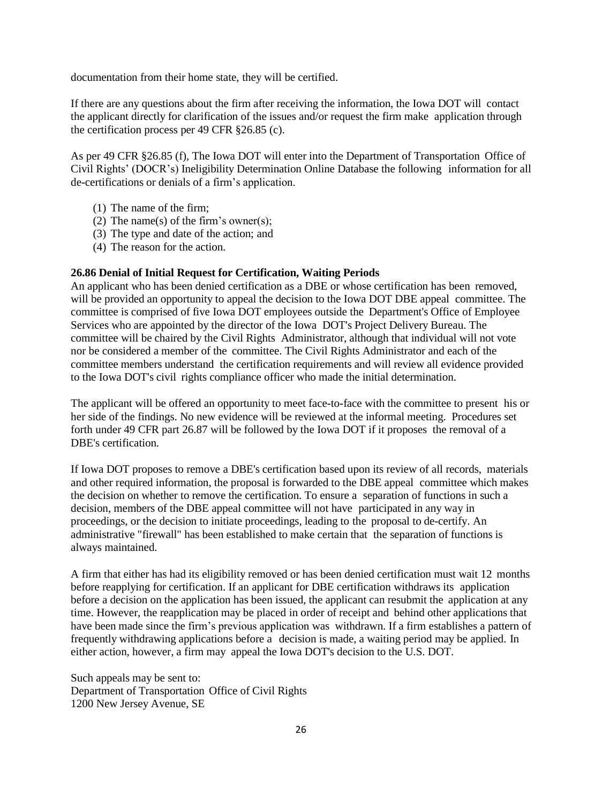documentation from their home state, they will be certified.

If there are any questions about the firm after receiving the information, the Iowa DOT will contact the applicant directly for clarification of the issues and/or request the firm make application through the certification process per 49 CFR §26.85 (c).

As per 49 CFR §26.85 (f), The Iowa DOT will enter into the Department of Transportation Office of Civil Rights' (DOCR's) Ineligibility Determination Online Database the following information for all de-certifications or denials of a firm's application.

- (1) The name of the firm;
- (2) The name(s) of the firm's owner(s);
- (3) The type and date of the action; and
- (4) The reason for the action.

# <span id="page-28-0"></span>**26.86 Denial of Initial Request for Certification, Waiting Periods**

An applicant who has been denied certification as a DBE or whose certification has been removed, will be provided an opportunity to appeal the decision to the Iowa DOT DBE appeal committee. The committee is comprised of five Iowa DOT employees outside the Department's Office of Employee Services who are appointed by the director of the Iowa DOT's Project Delivery Bureau. The committee will be chaired by the Civil Rights Administrator, although that individual will not vote nor be considered a member of the committee. The Civil Rights Administrator and each of the committee members understand the certification requirements and will review all evidence provided to the Iowa DOT's civil rights compliance officer who made the initial determination.

The applicant will be offered an opportunity to meet face-to-face with the committee to present his or her side of the findings. No new evidence will be reviewed at the informal meeting. Procedures set forth under 49 CFR part 26.87 will be followed by the Iowa DOT if it proposes the removal of a DBE's certification.

If Iowa DOT proposes to remove a DBE's certification based upon its review of all records, materials and other required information, the proposal is forwarded to the DBE appeal committee which makes the decision on whether to remove the certification. To ensure a separation of functions in such a decision, members of the DBE appeal committee will not have participated in any way in proceedings, or the decision to initiate proceedings, leading to the proposal to de-certify. An administrative "firewall" has been established to make certain that the separation of functions is always maintained.

A firm that either has had its eligibility removed or has been denied certification must wait 12 months before reapplying for certification. If an applicant for DBE certification withdraws its application before a decision on the application has been issued, the applicant can resubmit the application at any time. However, the reapplication may be placed in order of receipt and behind other applications that have been made since the firm's previous application was withdrawn. If a firm establishes a pattern of frequently withdrawing applications before a decision is made, a waiting period may be applied. In either action, however, a firm may appeal the Iowa DOT's decision to the U.S. DOT.

Such appeals may be sent to: Department of Transportation Office of Civil Rights 1200 New Jersey Avenue, SE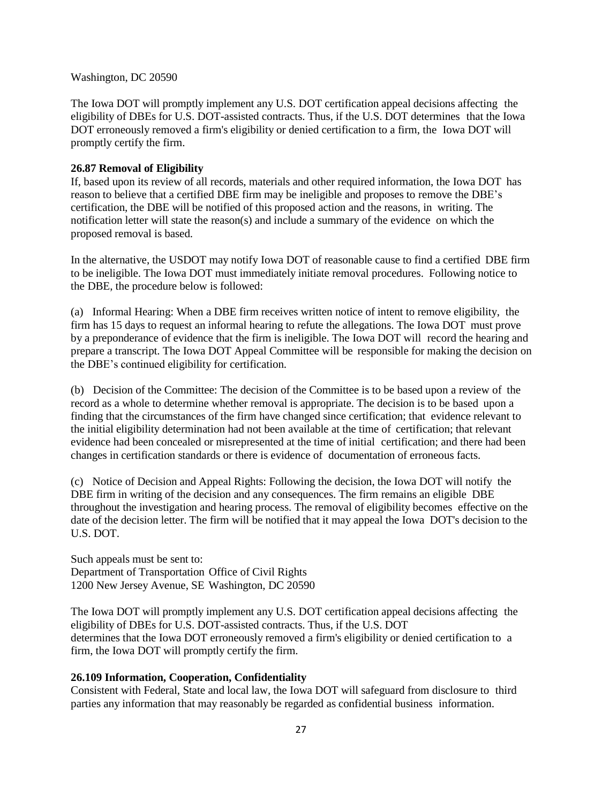Washington, DC 20590

The Iowa DOT will promptly implement any U.S. DOT certification appeal decisions affecting the eligibility of DBEs for U.S. DOT-assisted contracts. Thus, if the U.S. DOT determines that the Iowa DOT erroneously removed a firm's eligibility or denied certification to a firm, the Iowa DOT will promptly certify the firm.

# <span id="page-29-0"></span>**26.87 Removal of Eligibility**

If, based upon its review of all records, materials and other required information, the Iowa DOT has reason to believe that a certified DBE firm may be ineligible and proposes to remove the DBE's certification, the DBE will be notified of this proposed action and the reasons, in writing. The notification letter will state the reason(s) and include a summary of the evidence on which the proposed removal is based.

In the alternative, the USDOT may notify Iowa DOT of reasonable cause to find a certified DBE firm to be ineligible. The Iowa DOT must immediately initiate removal procedures. Following notice to the DBE, the procedure below is followed:

(a) Informal Hearing: When a DBE firm receives written notice of intent to remove eligibility, the firm has 15 days to request an informal hearing to refute the allegations. The Iowa DOT must prove by a preponderance of evidence that the firm is ineligible. The Iowa DOT will record the hearing and prepare a transcript. The Iowa DOT Appeal Committee will be responsible for making the decision on the DBE's continued eligibility for certification.

(b) Decision of the Committee: The decision of the Committee is to be based upon a review of the record as a whole to determine whether removal is appropriate. The decision is to be based upon a finding that the circumstances of the firm have changed since certification; that evidence relevant to the initial eligibility determination had not been available at the time of certification; that relevant evidence had been concealed or misrepresented at the time of initial certification; and there had been changes in certification standards or there is evidence of documentation of erroneous facts.

(c) Notice of Decision and Appeal Rights: Following the decision, the Iowa DOT will notify the DBE firm in writing of the decision and any consequences. The firm remains an eligible DBE throughout the investigation and hearing process. The removal of eligibility becomes effective on the date of the decision letter. The firm will be notified that it may appeal the Iowa DOT's decision to the U.S. DOT.

Such appeals must be sent to: Department of Transportation Office of Civil Rights 1200 New Jersey Avenue, SE Washington, DC 20590

The Iowa DOT will promptly implement any U.S. DOT certification appeal decisions affecting the eligibility of DBEs for U.S. DOT-assisted contracts. Thus, if the U.S. DOT determines that the Iowa DOT erroneously removed a firm's eligibility or denied certification to a firm, the Iowa DOT will promptly certify the firm.

# <span id="page-29-1"></span>**26.109 Information, Cooperation, Confidentiality**

Consistent with Federal, State and local law, the Iowa DOT will safeguard from disclosure to third parties any information that may reasonably be regarded as confidential business information.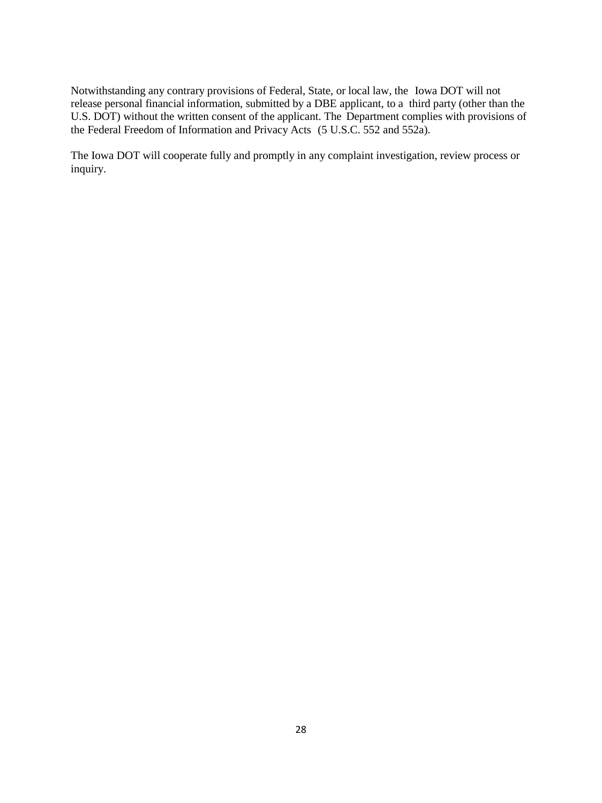Notwithstanding any contrary provisions of Federal, State, or local law, the Iowa DOT will not release personal financial information, submitted by a DBE applicant, to a third party (other than the U.S. DOT) without the written consent of the applicant. The Department complies with provisions of the Federal Freedom of Information and Privacy Acts (5 U.S.C. 552 and 552a).

The Iowa DOT will cooperate fully and promptly in any complaint investigation, review process or inquiry.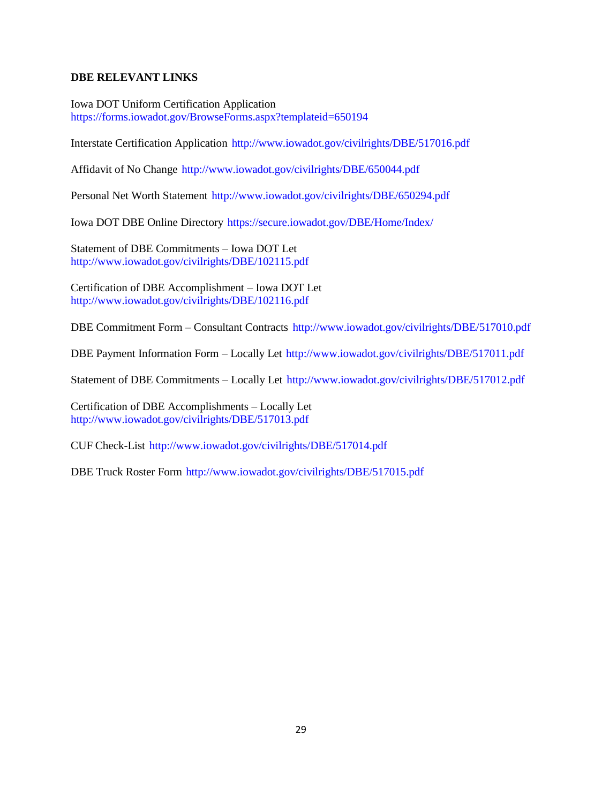# **DBE RELEVANT LINKS**

Iowa DOT Uniform Certification Application <https://forms.iowadot.gov/BrowseForms.aspx?templateid=650194>

Interstate Certification Application <http://www.iowadot.gov/civilrights/DBE/517016.pdf>

Affidavit of No Change <http://www.iowadot.gov/civilrights/DBE/650044.pdf>

Personal Net Worth Statement <http://www.iowadot.gov/civilrights/DBE/650294.pdf>

Iowa DOT DBE Online Directory <https://secure.iowadot.gov/DBE/Home/Index/>

Statement of DBE Commitments – Iowa DOT Let <http://www.iowadot.gov/civilrights/DBE/102115.pdf>

Certification of DBE Accomplishment – Iowa DOT Let <http://www.iowadot.gov/civilrights/DBE/102116.pdf>

DBE Commitment Form – Consultant Contracts <http://www.iowadot.gov/civilrights/DBE/517010.pdf>

DBE Payment Information Form – Locally Let <http://www.iowadot.gov/civilrights/DBE/517011.pdf>

Statement of DBE Commitments – Locally Let <http://www.iowadot.gov/civilrights/DBE/517012.pdf>

Certification of DBE Accomplishments – Locally Let <http://www.iowadot.gov/civilrights/DBE/517013.pdf>

CUF Check-List <http://www.iowadot.gov/civilrights/DBE/517014.pdf>

DBE Truck Roster Form <http://www.iowadot.gov/civilrights/DBE/517015.pdf>